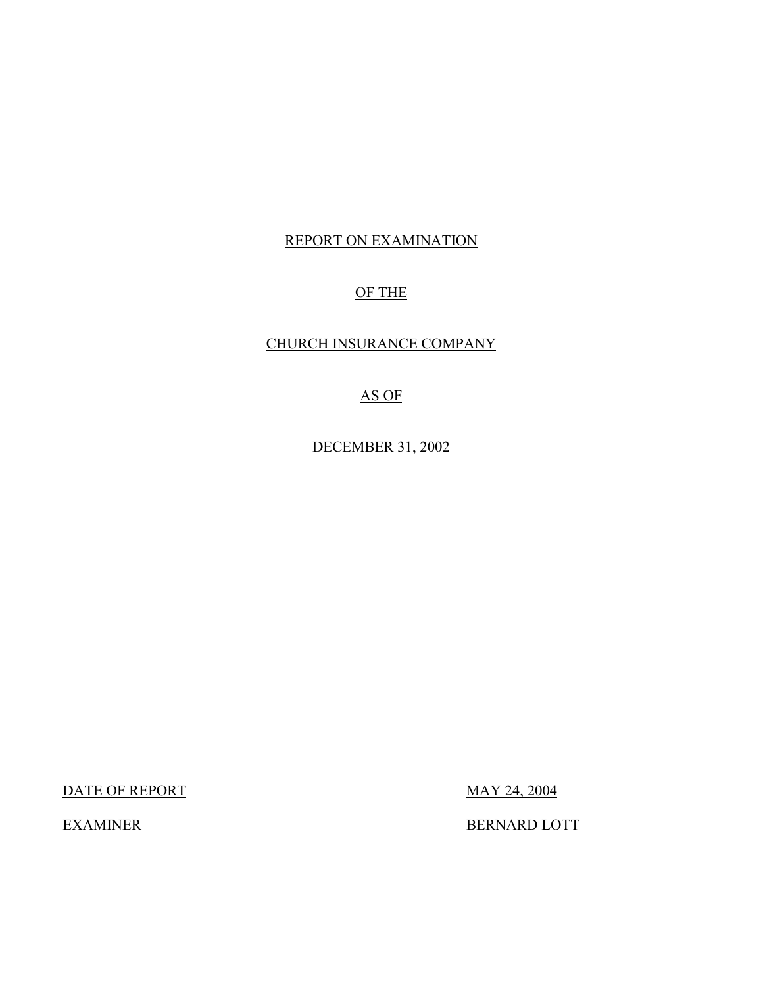# REPORT ON EXAMINATION

# OF THE

# CHURCH INSURANCE COMPANY

# AS OF

DECEMBER 31, 2002

DATE OF REPORT MAY 24, 2004

EXAMINER BERNARD LOTT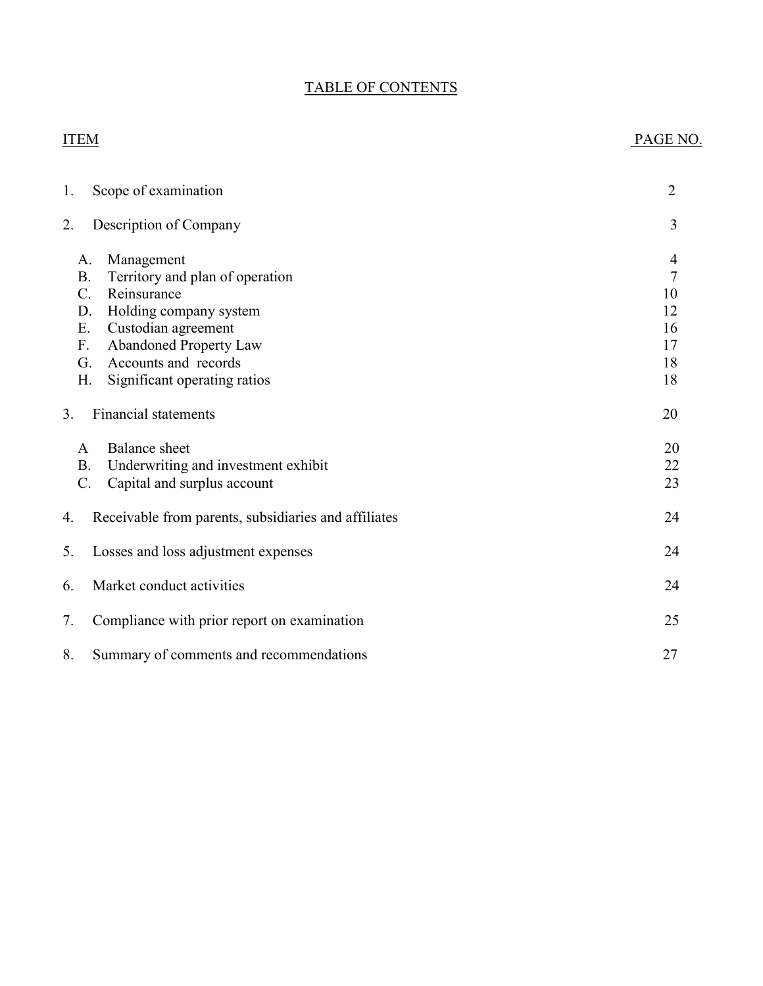# TABLE OF CONTENTS

# ITEM PAGE NO.

| 1. | Scope of examination                                                                                                                                                                                                                                                   | $\overline{2}$                                          |
|----|------------------------------------------------------------------------------------------------------------------------------------------------------------------------------------------------------------------------------------------------------------------------|---------------------------------------------------------|
| 2. | Description of Company                                                                                                                                                                                                                                                 | 3                                                       |
|    | Management<br>A.<br>Territory and plan of operation<br><b>B.</b><br>$C_{\cdot}$<br>Reinsurance<br>Holding company system<br>D.<br>Custodian agreement<br>Ε.<br><b>Abandoned Property Law</b><br>F.<br>Accounts and records<br>G.<br>Η.<br>Significant operating ratios | 4<br>$\overline{7}$<br>10<br>12<br>16<br>17<br>18<br>18 |
| 3. | <b>Financial statements</b>                                                                                                                                                                                                                                            | 20                                                      |
|    | <b>Balance</b> sheet<br>A<br>Underwriting and investment exhibit<br><b>B.</b><br>$\mathcal{C}$ .<br>Capital and surplus account                                                                                                                                        | 20<br>22<br>23                                          |
| 4. | Receivable from parents, subsidiaries and affiliates                                                                                                                                                                                                                   | 24                                                      |
| 5. | Losses and loss adjustment expenses                                                                                                                                                                                                                                    | 24                                                      |
| 6. | Market conduct activities                                                                                                                                                                                                                                              | 24                                                      |
| 7. | Compliance with prior report on examination                                                                                                                                                                                                                            | 25                                                      |
| 8. | Summary of comments and recommendations                                                                                                                                                                                                                                | 27                                                      |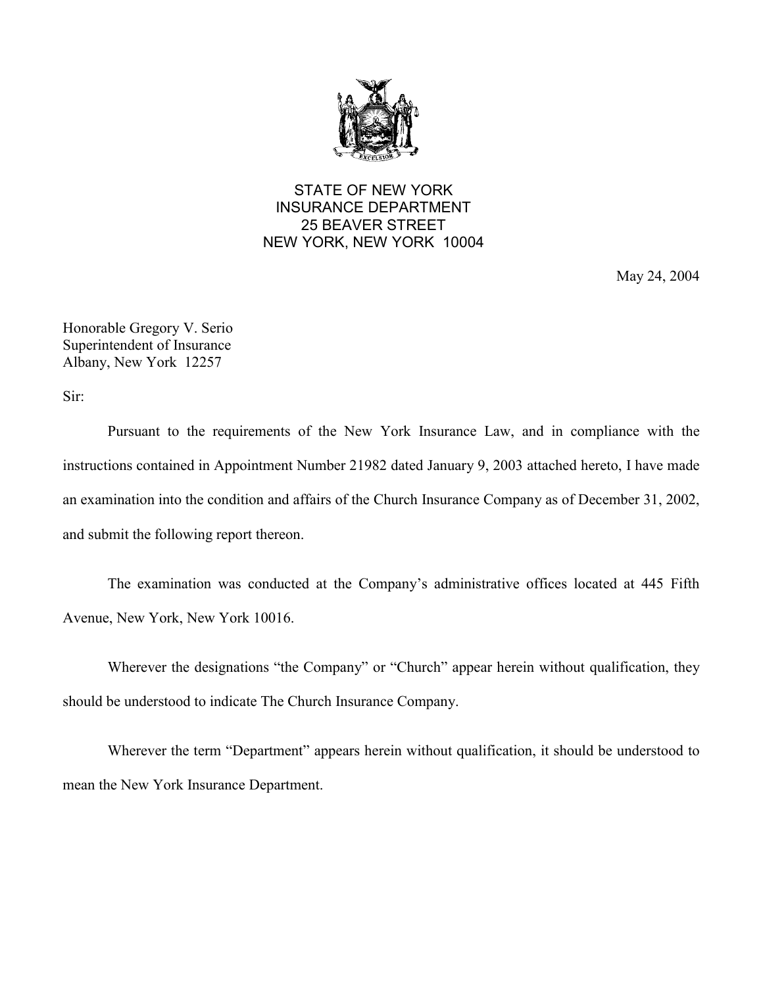

# STATE OF NEW YORK INSURANCE DEPARTMENT 25 BEAVER STREET NEW YORK, NEW YORK 10004

May 24, 2004

Honorable Gregory V. Serio Superintendent of Insurance Albany, New York 12257

Sir:

Pursuant to the requirements of the New York Insurance Law, and in compliance with the instructions contained in Appointment Number 21982 dated January 9, 2003 attached hereto, I have made an examination into the condition and affairs of the Church Insurance Company as of December 31, 2002, and submit the following report thereon.

The examination was conducted at the Company's administrative offices located at 445 Fifth Avenue, New York, New York 10016.

Wherever the designations "the Company" or "Church" appear herein without qualification, they should be understood to indicate The Church Insurance Company.

Wherever the term "Department" appears herein without qualification, it should be understood to mean the New York Insurance Department.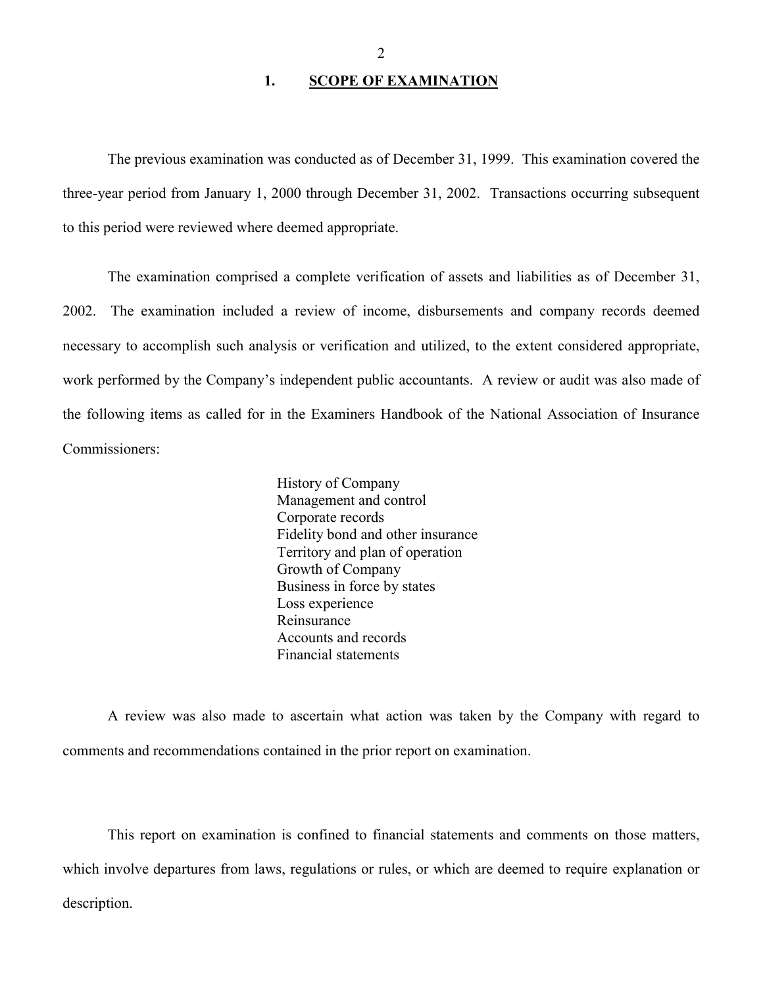## 1. **SCOPE OF EXAMINATION**

<span id="page-3-0"></span>The previous examination was conducted as of December 31, 1999. This examination covered the three-year period from January 1, 2000 through December 31, 2002. Transactions occurring subsequent to this period were reviewed where deemed appropriate.

 necessary to accomplish such analysis or verification and utilized, to the extent considered appropriate, The examination comprised a complete verification of assets and liabilities as of December 31, 2002. The examination included a review of income, disbursements and company records deemed work performed by the Company's independent public accountants. A review or audit was also made of the following items as called for in the Examiners Handbook of the National Association of Insurance Commissioners:

> History of Company Management and control Corporate records Fidelity bond and other insurance Territory and plan of operation Growth of Company Business in force by states Loss experience Reinsurance Accounts and records Financial statements

A review was also made to ascertain what action was taken by the Company with regard to comments and recommendations contained in the prior report on examination.

This report on examination is confined to financial statements and comments on those matters, which involve departures from laws, regulations or rules, or which are deemed to require explanation or description.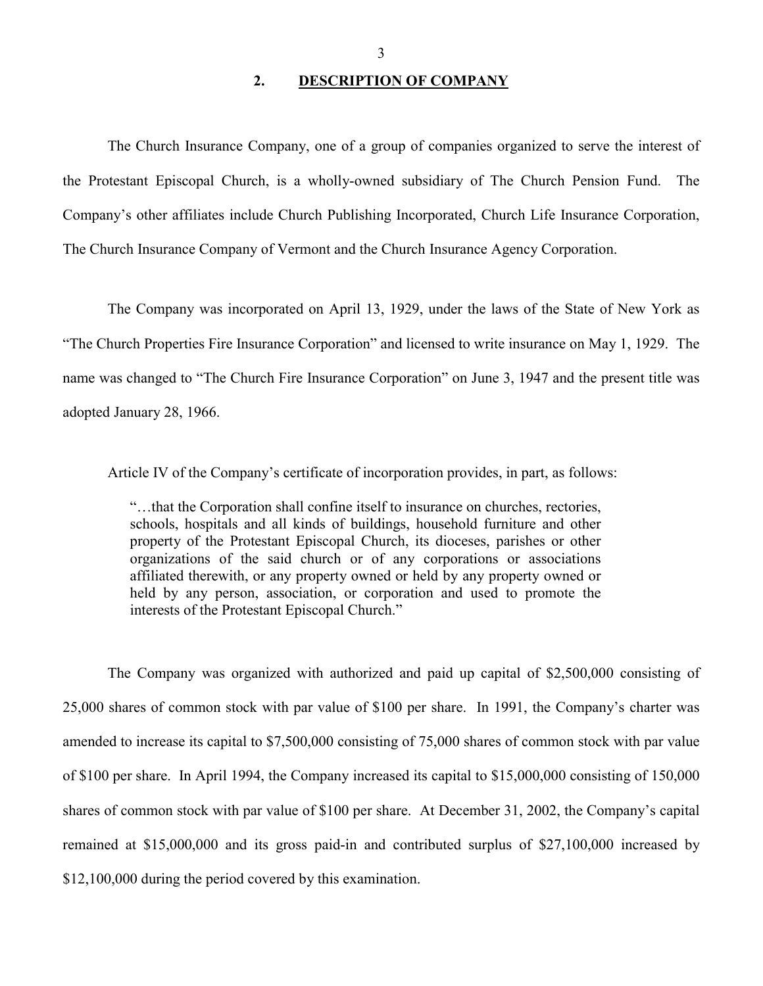### **2. DESCRIPTION OF COMPANY**

<span id="page-4-0"></span>The Church Insurance Company, one of a group of companies organized to serve the interest of the Protestant Episcopal Church, is a wholly-owned subsidiary of The Church Pension Fund. The Company's other affiliates include Church Publishing Incorporated, Church Life Insurance Corporation, The Church Insurance Company of Vermont and the Church Insurance Agency Corporation.

The Company was incorporated on April 13, 1929, under the laws of the State of New York as "The Church Properties Fire Insurance Corporation" and licensed to write insurance on May 1, 1929. The name was changed to "The Church Fire Insurance Corporation" on June 3, 1947 and the present title was adopted January 28, 1966.

Article IV of the Company's certificate of incorporation provides, in part, as follows:

 affiliated therewith, or any property owned or held by any property owned or "…that the Corporation shall confine itself to insurance on churches, rectories, schools, hospitals and all kinds of buildings, household furniture and other property of the Protestant Episcopal Church, its dioceses, parishes or other organizations of the said church or of any corporations or associations held by any person, association, or corporation and used to promote the interests of the Protestant Episcopal Church."

 25,000 shares of common stock with par value of \$100 per share. In 1991, the Company's charter was The Company was organized with authorized and paid up capital of \$2,500,000 consisting of amended to increase its capital to \$7,500,000 consisting of 75,000 shares of common stock with par value of \$100 per share. In April 1994, the Company increased its capital to \$15,000,000 consisting of 150,000 shares of common stock with par value of \$100 per share. At December 31, 2002, the Company's capital remained at \$15,000,000 and its gross paid-in and contributed surplus of \$27,100,000 increased by \$12,100,000 during the period covered by this examination.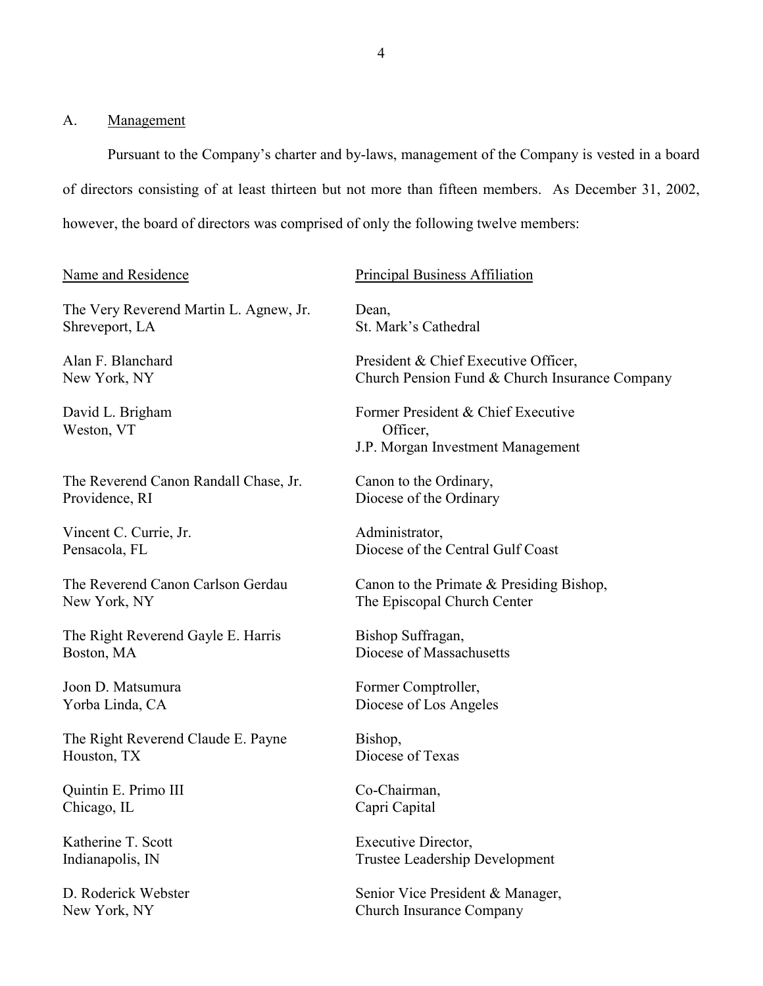## <span id="page-5-0"></span>A. Management

 Pursuant to the Company's charter and by-laws, management of the Company is vested in a board of directors consisting of at least thirteen but not more than fifteen members. As December 31, 2002, however, the board of directors was comprised of only the following twelve members:

## Name and Residence

The Very Reverend Martin L. Agnew, Jr. Shreveport, LA

Alan F. Blanchard New York, NY

David L. Brigham Weston, VT

The Reverend Canon Randall Chase, Jr. Providence, RI

Vincent C. Currie, Jr. Pensacola, FL

The Reverend Canon Carlson Gerdau New York, NY

The Right Reverend Gayle E. Harris Boston, MA

Joon D. Matsumura Yorba Linda, CA

The Right Reverend Claude E. Payne Houston, TX

Quintin E. Primo III Chicago, IL

Katherine T. Scott Indianapolis, IN

D. Roderick Webster New York, NY

#### Principal Business Affiliation

Dean, St. Mark's Cathedral

President & Chief Executive Officer, Church Pension Fund & Church Insurance Company

Former President & Chief Executive Officer, J.P. Morgan Investment Management

Canon to the Ordinary, Diocese of the Ordinary

Administrator, Diocese of the Central Gulf Coast

Canon to the Primate & Presiding Bishop, The Episcopal Church Center

Bishop Suffragan, Diocese of Massachusetts

Former Comptroller, Diocese of Los Angeles

Bishop, Diocese of Texas

Co-Chairman, Capri Capital

Executive Director, Trustee Leadership Development

Senior Vice President & Manager, Church Insurance Company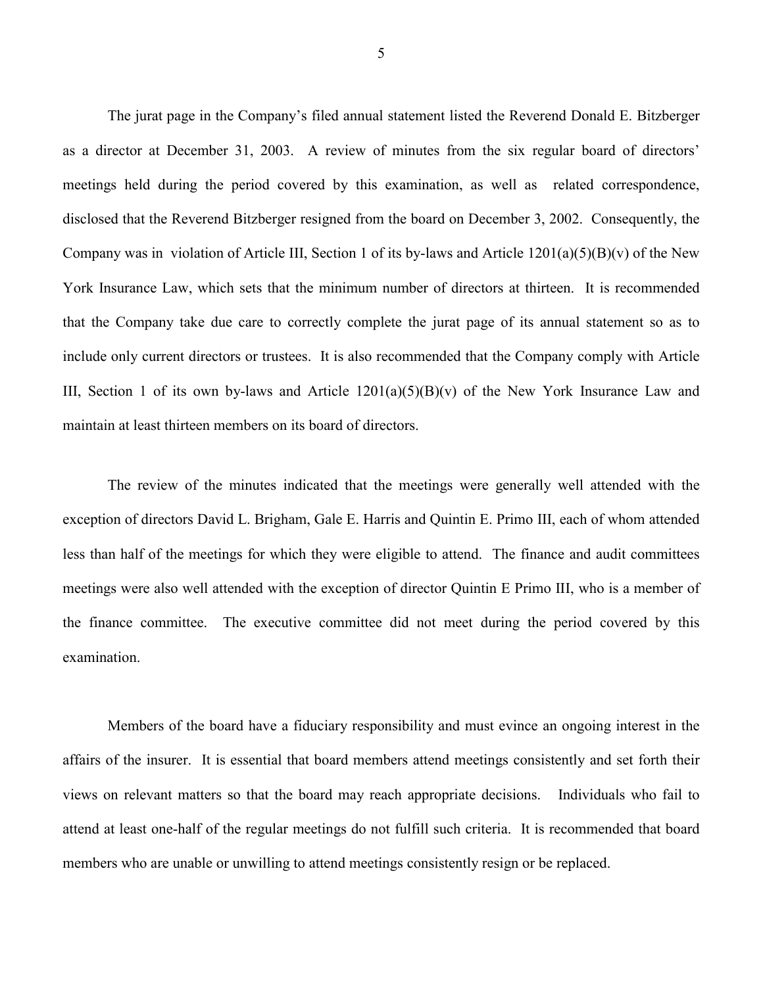The jurat page in the Company's filed annual statement listed the Reverend Donald E. Bitzberger include only current directors or trustees. It is also recommended that the Company comply with Article as a director at December 31, 2003. A review of minutes from the six regular board of directors' meetings held during the period covered by this examination, as well as related correspondence, disclosed that the Reverend Bitzberger resigned from the board on December 3, 2002. Consequently, the Company was in violation of Article III, Section 1 of its by-laws and Article  $1201(a)(5)(B)(v)$  of the New York Insurance Law, which sets that the minimum number of directors at thirteen. It is recommended that the Company take due care to correctly complete the jurat page of its annual statement so as to III, Section 1 of its own by-laws and Article  $1201(a)(5)(B)(v)$  of the New York Insurance Law and maintain at least thirteen members on its board of directors.

 The review of the minutes indicated that the meetings were generally well attended with the the finance committee. The executive committee did not meet during the period covered by this exception of directors David L. Brigham, Gale E. Harris and Quintin E. Primo III, each of whom attended less than half of the meetings for which they were eligible to attend. The finance and audit committees meetings were also well attended with the exception of director Quintin E Primo III, who is a member of examination.

 affairs of the insurer. It is essential that board members attend meetings consistently and set forth their attend at least one-half of the regular meetings do not fulfill such criteria. It is recommended that board Members of the board have a fiduciary responsibility and must evince an ongoing interest in the views on relevant matters so that the board may reach appropriate decisions. Individuals who fail to members who are unable or unwilling to attend meetings consistently resign or be replaced.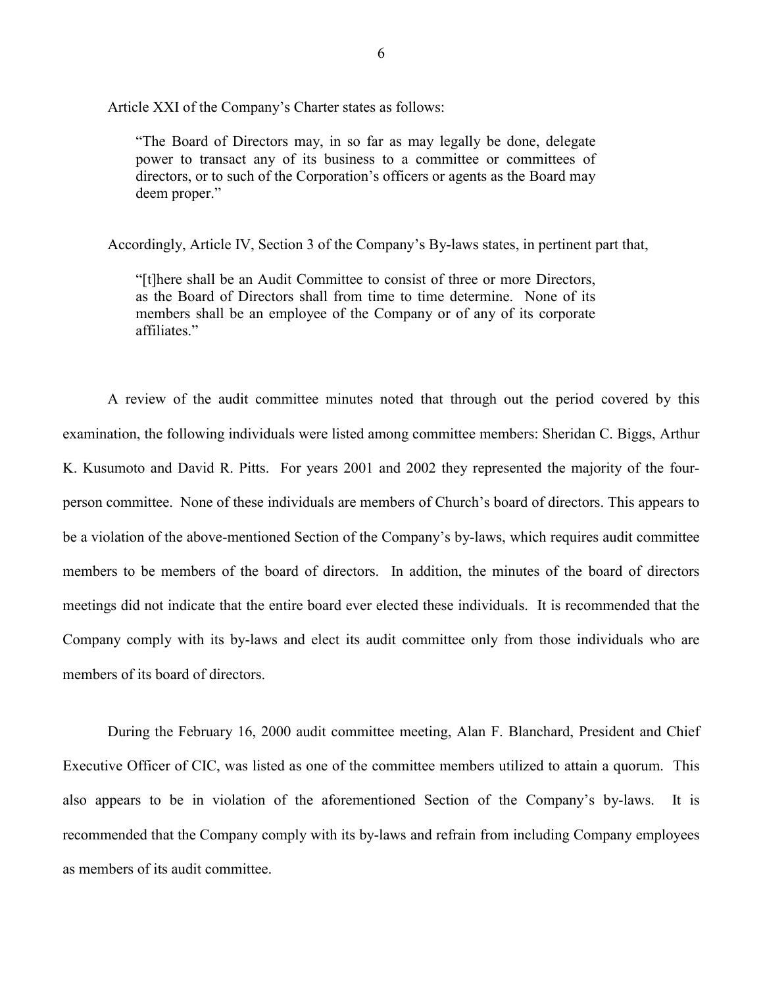Article XXI of the Company's Charter states as follows:

power to transact any of its business to a committee or committees of "The Board of Directors may, in so far as may legally be done, delegate directors, or to such of the Corporation's officers or agents as the Board may deem proper."

Accordingly, Article IV, Section 3 of the Company's By-laws states, in pertinent part that,

 "[t]here shall be an Audit Committee to consist of three or more Directors, as the Board of Directors shall from time to time determine. None of its members shall be an employee of the Company or of any of its corporate affiliates."

 person committee. None of these individuals are members of Church's board of directors. This appears to Company comply with its by-laws and elect its audit committee only from those individuals who are A review of the audit committee minutes noted that through out the period covered by this examination, the following individuals were listed among committee members: Sheridan C. Biggs, Arthur K. Kusumoto and David R. Pitts. For years 2001 and 2002 they represented the majority of the fourbe a violation of the above-mentioned Section of the Company's by-laws, which requires audit committee members to be members of the board of directors. In addition, the minutes of the board of directors meetings did not indicate that the entire board ever elected these individuals. It is recommended that the members of its board of directors.

 recommended that the Company comply with its by-laws and refrain from including Company employees During the February 16, 2000 audit committee meeting, Alan F. Blanchard, President and Chief Executive Officer of CIC, was listed as one of the committee members utilized to attain a quorum. This also appears to be in violation of the aforementioned Section of the Company's by-laws. It is as members of its audit committee.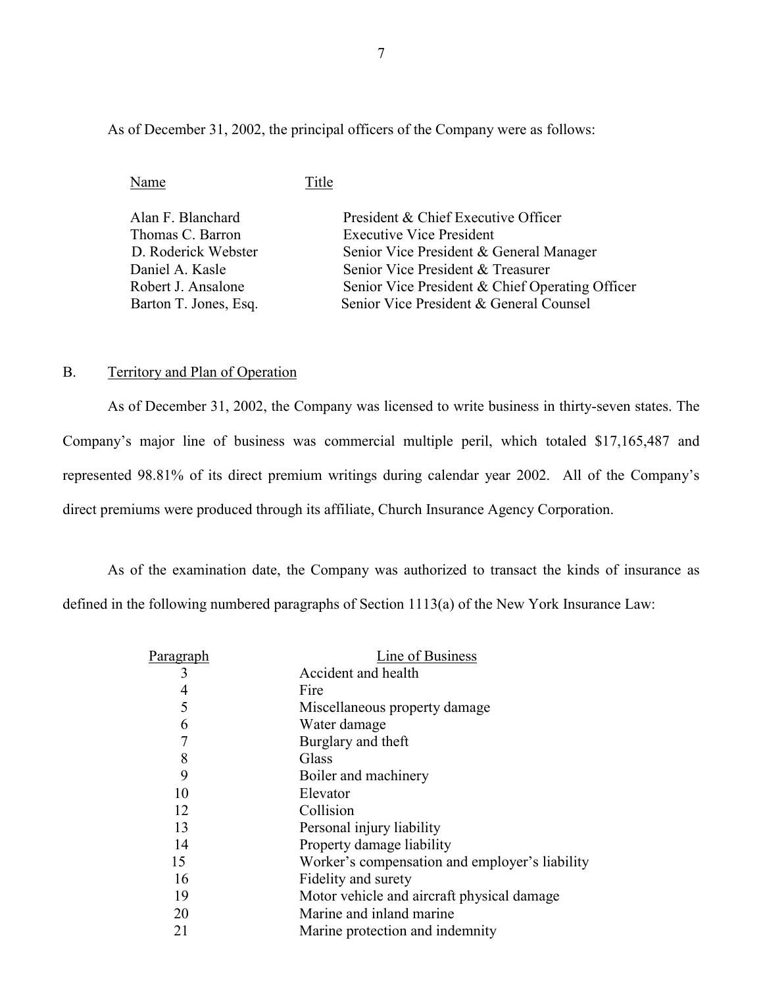As of December 31, 2002, the principal officers of the Company were as follows:

Name Title

| Alan F. Blanchard     | President & Chief Executive Officer             |
|-----------------------|-------------------------------------------------|
| Thomas C. Barron      | <b>Executive Vice President</b>                 |
| D. Roderick Webster   | Senior Vice President & General Manager         |
| Daniel A. Kasle       | Senior Vice President & Treasurer               |
| Robert J. Ansalone    | Senior Vice President & Chief Operating Officer |
| Barton T. Jones, Esq. | Senior Vice President & General Counsel         |

## B. Territory and Plan of Operation

As of December 31, 2002, the Company was licensed to write business in thirty-seven states. The Company's major line of business was commercial multiple peril, which totaled \$17,165,487 and represented 98.81% of its direct premium writings during calendar year 2002. All of the Company's direct premiums were produced through its affiliate, Church Insurance Agency Corporation.

 As of the examination date, the Company was authorized to transact the kinds of insurance as defined in the following numbered paragraphs of Section 1113(a) of the New York Insurance Law:

| Paragraph | Line of Business                               |
|-----------|------------------------------------------------|
| 3         | Accident and health                            |
| 4         | Fire                                           |
| 5         | Miscellaneous property damage                  |
| 6         | Water damage                                   |
| 7         | Burglary and theft                             |
| 8         | Glass                                          |
| 9         | Boiler and machinery                           |
| 10        | Elevator                                       |
| 12        | Collision                                      |
| 13        | Personal injury liability                      |
| 14        | Property damage liability                      |
| 15        | Worker's compensation and employer's liability |
| 16        | Fidelity and surety                            |
| 19        | Motor vehicle and aircraft physical damage     |
| 20        | Marine and inland marine                       |
| 21        | Marine protection and indemnity                |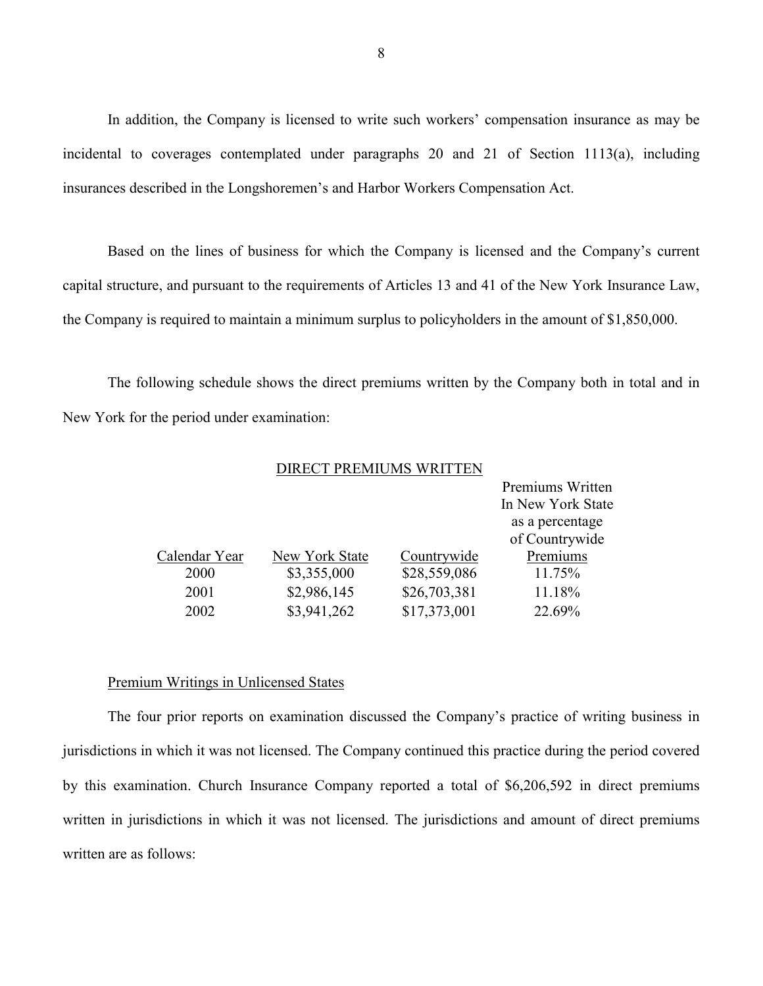In addition, the Company is licensed to write such workers' compensation insurance as may be incidental to coverages contemplated under paragraphs 20 and 21 of Section 1113(a), including insurances described in the Longshoremen's and Harbor Workers Compensation Act.

Based on the lines of business for which the Company is licensed and the Company's current capital structure, and pursuant to the requirements of Articles 13 and 41 of the New York Insurance Law, the Company is required to maintain a minimum surplus to policyholders in the amount of \$1,850,000.

 The following schedule shows the direct premiums written by the Company both in total and in New York for the period under examination:

#### DIRECT PREMIUMS WRITTEN

|               |                |              | Premiums Written  |
|---------------|----------------|--------------|-------------------|
|               |                |              | In New York State |
|               |                |              | as a percentage   |
|               |                |              | of Countrywide    |
| Calendar Year | New York State | Countrywide  | Premiums          |
| 2000          | \$3,355,000    | \$28,559,086 | 11.75%            |
| 2001          | \$2,986,145    | \$26,703,381 | 11.18%            |
| 2002          | \$3,941,262    | \$17,373,001 | 22.69%            |

#### Premium Writings in Unlicensed States

 The four prior reports on examination discussed the Company's practice of writing business in jurisdictions in which it was not licensed. The Company continued this practice during the period covered by this examination. Church Insurance Company reported a total of \$6,206,592 in direct premiums written in jurisdictions in which it was not licensed. The jurisdictions and amount of direct premiums written are as follows: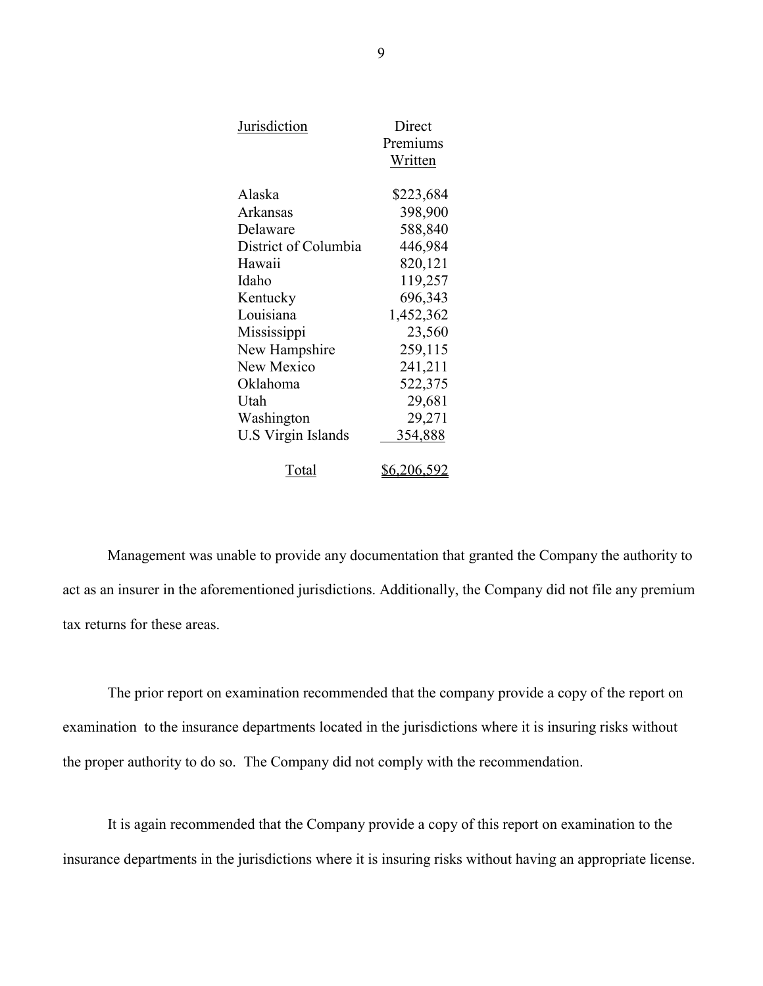| <b>Jurisdiction</b>       | Direct<br>Premiums<br>Written |
|---------------------------|-------------------------------|
| Alaska                    | \$223,684                     |
| Arkansas                  | 398,900                       |
| Delaware                  | 588,840                       |
| District of Columbia      | 446,984                       |
| Hawaii                    | 820,121                       |
| Idaho                     | 119,257                       |
| Kentucky                  | 696,343                       |
| Louisiana                 | 1,452,362                     |
| Mississippi               | 23,560                        |
| New Hampshire             | 259,115                       |
| New Mexico                | 241,211                       |
| Oklahoma                  | 522,375                       |
| Utah                      | 29,681                        |
| Washington                | 29,271                        |
| <b>U.S Virgin Islands</b> | 354,888                       |
| Total                     | <u>\$6,206,592</u>            |

Management was unable to provide any documentation that granted the Company the authority to act as an insurer in the aforementioned jurisdictions. Additionally, the Company did not file any premium tax returns for these areas.

The prior report on examination recommended that the company provide a copy of the report on examination to the insurance departments located in the jurisdictions where it is insuring risks without the proper authority to do so. The Company did not comply with the recommendation.

It is again recommended that the Company provide a copy of this report on examination to the insurance departments in the jurisdictions where it is insuring risks without having an appropriate license.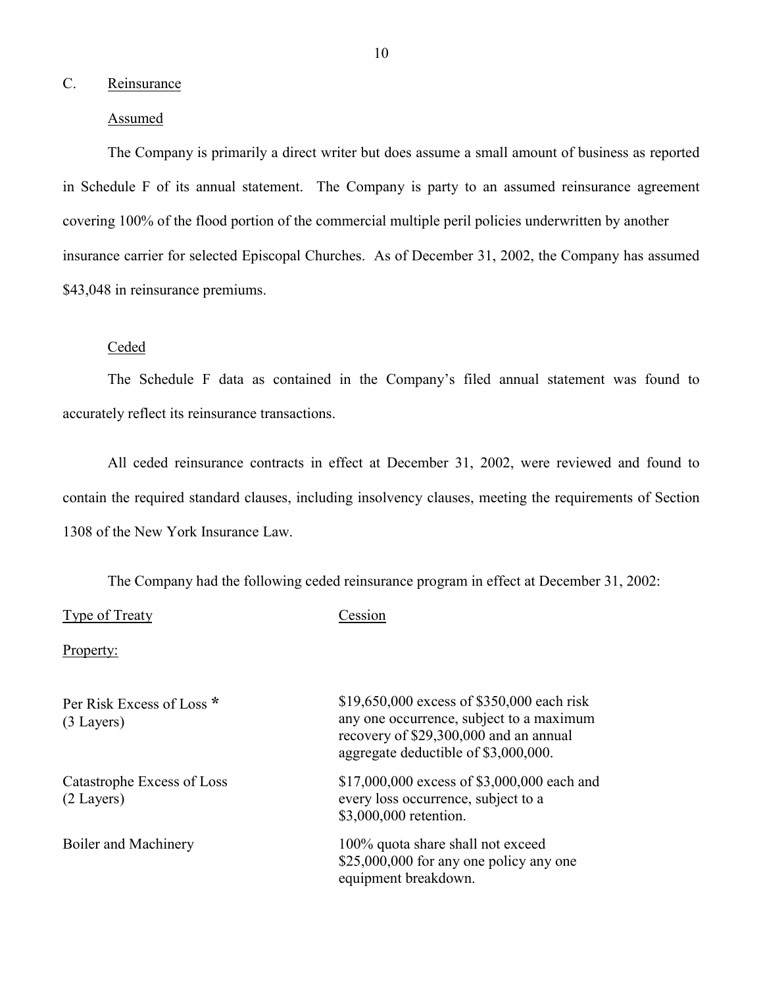## <span id="page-11-0"></span>C. Reinsurance

### Assumed

 The Company is primarily a direct writer but does assume a small amount of business as reported in Schedule F of its annual statement. The Company is party to an assumed reinsurance agreement covering 100% of the flood portion of the commercial multiple peril policies underwritten by another insurance carrier for selected Episcopal Churches. As of December 31, 2002, the Company has assumed \$43,048 in reinsurance premiums.

### Ceded

The Schedule F data as contained in the Company's filed annual statement was found to accurately reflect its reinsurance transactions.

All ceded reinsurance contracts in effect at December 31, 2002, were reviewed and found to contain the required standard clauses, including insolvency clauses, meeting the requirements of Section 1308 of the New York Insurance Law.

The Company had the following ceded reinsurance program in effect at December 31, 2002:

### Type of Treaty Cession

Property:

| Per Risk Excess of Loss *<br>$(3$ Layers)  | \$19,650,000 excess of \$350,000 each risk<br>any one occurrence, subject to a maximum<br>recovery of \$29,300,000 and an annual<br>aggregate deductible of \$3,000,000. |
|--------------------------------------------|--------------------------------------------------------------------------------------------------------------------------------------------------------------------------|
| Catastrophe Excess of Loss<br>$(2$ Layers) | \$17,000,000 excess of \$3,000,000 each and<br>every loss occurrence, subject to a<br>\$3,000,000 retention.                                                             |
| Boiler and Machinery                       | 100% quota share shall not exceed<br>$$25,000,000$ for any one policy any one<br>equipment breakdown.                                                                    |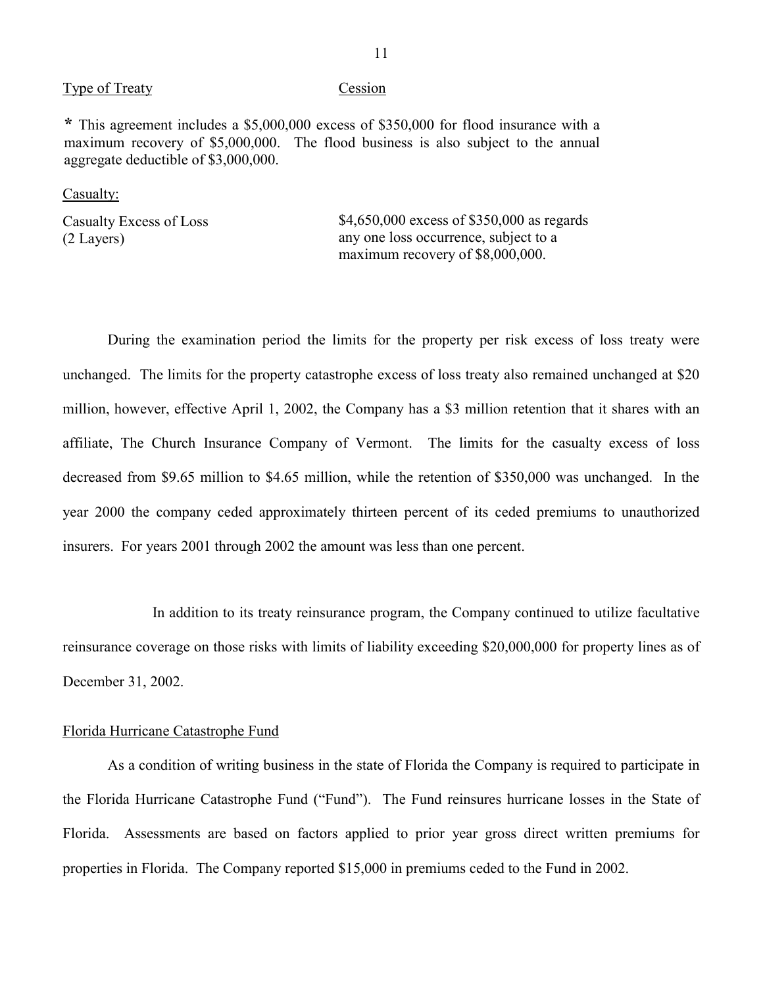#### Type of Treaty Cession

**\*** This agreement includes a \$5,000,000 excess of \$350,000 for flood insurance with a maximum recovery of \$5,000,000. The flood business is also subject to the annual aggregate deductible of \$3,000,000.

#### Casualty:

Casualty Excess of Loss  $$4,650,000$  excess of \$350,000 as regards (2 Layers) any one loss occurrence, subject to a maximum recovery of \$8,000,000.

 During the examination period the limits for the property per risk excess of loss treaty were affiliate, The Church Insurance Company of Vermont. The limits for the casualty excess of loss decreased from \$9.65 million to \$4.65 million, while the retention of \$350,000 was unchanged. In the unchanged. The limits for the property catastrophe excess of loss treaty also remained unchanged at \$20 million, however, effective April 1, 2002, the Company has a \$3 million retention that it shares with an year 2000 the company ceded approximately thirteen percent of its ceded premiums to unauthorized insurers. For years 2001 through 2002 the amount was less than one percent.

In addition to its treaty reinsurance program, the Company continued to utilize facultative reinsurance coverage on those risks with limits of liability exceeding \$20,000,000 for property lines as of December 31, 2002.

#### Florida Hurricane Catastrophe Fund

 As a condition of writing business in the state of Florida the Company is required to participate in Florida. Assessments are based on factors applied to prior year gross direct written premiums for the Florida Hurricane Catastrophe Fund ("Fund"). The Fund reinsures hurricane losses in the State of properties in Florida. The Company reported \$15,000 in premiums ceded to the Fund in 2002.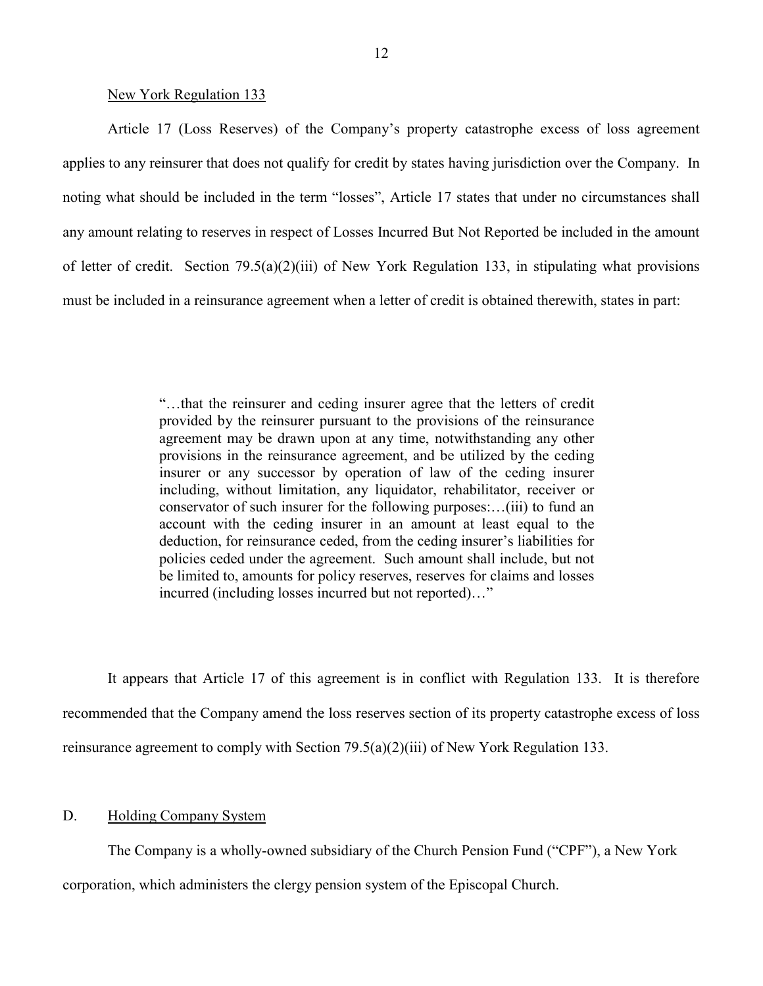#### New York Regulation 133

<span id="page-13-0"></span> applies to any reinsurer that does not qualify for credit by states having jurisdiction over the Company. In Article 17 (Loss Reserves) of the Company's property catastrophe excess of loss agreement noting what should be included in the term "losses", Article 17 states that under no circumstances shall any amount relating to reserves in respect of Losses Incurred But Not Reported be included in the amount of letter of credit. Section 79.5(a)(2)(iii) of New York Regulation 133, in stipulating what provisions must be included in a reinsurance agreement when a letter of credit is obtained therewith, states in part:

> agreement may be drawn upon at any time, notwithstanding any other provisions in the reinsurance agreement, and be utilized by the ceding "…that the reinsurer and ceding insurer agree that the letters of credit provided by the reinsurer pursuant to the provisions of the reinsurance insurer or any successor by operation of law of the ceding insurer including, without limitation, any liquidator, rehabilitator, receiver or conservator of such insurer for the following purposes:…(iii) to fund an account with the ceding insurer in an amount at least equal to the deduction, for reinsurance ceded, from the ceding insurer's liabilities for policies ceded under the agreement. Such amount shall include, but not be limited to, amounts for policy reserves, reserves for claims and losses incurred (including losses incurred but not reported)…"

It appears that Article 17 of this agreement is in conflict with Regulation 133. It is therefore recommended that the Company amend the loss reserves section of its property catastrophe excess of loss reinsurance agreement to comply with Section 79.5(a)(2)(iii) of New York Regulation 133.

### D. Holding Company System

The Company is a wholly-owned subsidiary of the Church Pension Fund ("CPF"), a New York

corporation, which administers the clergy pension system of the Episcopal Church.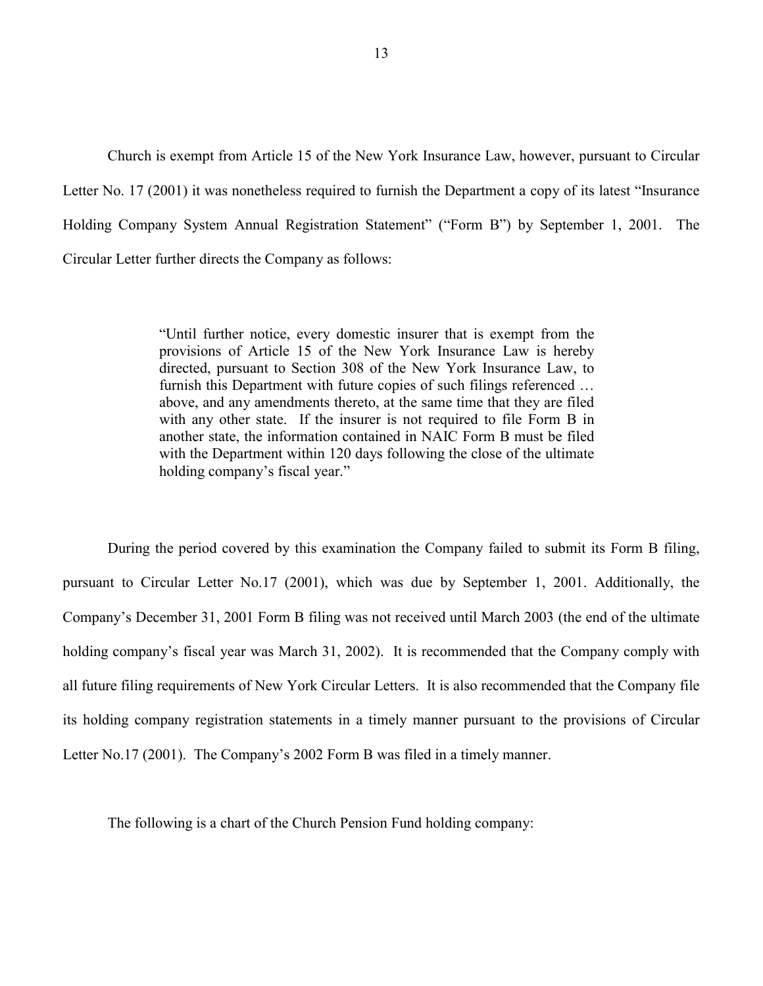Church is exempt from Article 15 of the New York Insurance Law, however, pursuant to Circular Letter No. 17 (2001) it was nonetheless required to furnish the Department a copy of its latest "Insurance Holding Company System Annual Registration Statement" ("Form B") by September 1, 2001. The Circular Letter further directs the Company as follows:

> "Until further notice, every domestic insurer that is exempt from the with any other state. If the insurer is not required to file Form B in another state, the information contained in NAIC Form B must be filed provisions of Article 15 of the New York Insurance Law is hereby directed, pursuant to Section 308 of the New York Insurance Law, to furnish this Department with future copies of such filings referenced … above, and any amendments thereto, at the same time that they are filed with the Department within 120 days following the close of the ultimate holding company's fiscal year."

 During the period covered by this examination the Company failed to submit its Form B filing, its holding company registration statements in a timely manner pursuant to the provisions of Circular Letter No.17 (2001). The Company's 2002 Form B was filed in a timely manner. pursuant to Circular Letter No.17 (2001), which was due by September 1, 2001. Additionally, the Company's December 31, 2001 Form B filing was not received until March 2003 (the end of the ultimate holding company's fiscal year was March 31, 2002). It is recommended that the Company comply with all future filing requirements of New York Circular Letters. It is also recommended that the Company file

The following is a chart of the Church Pension Fund holding company: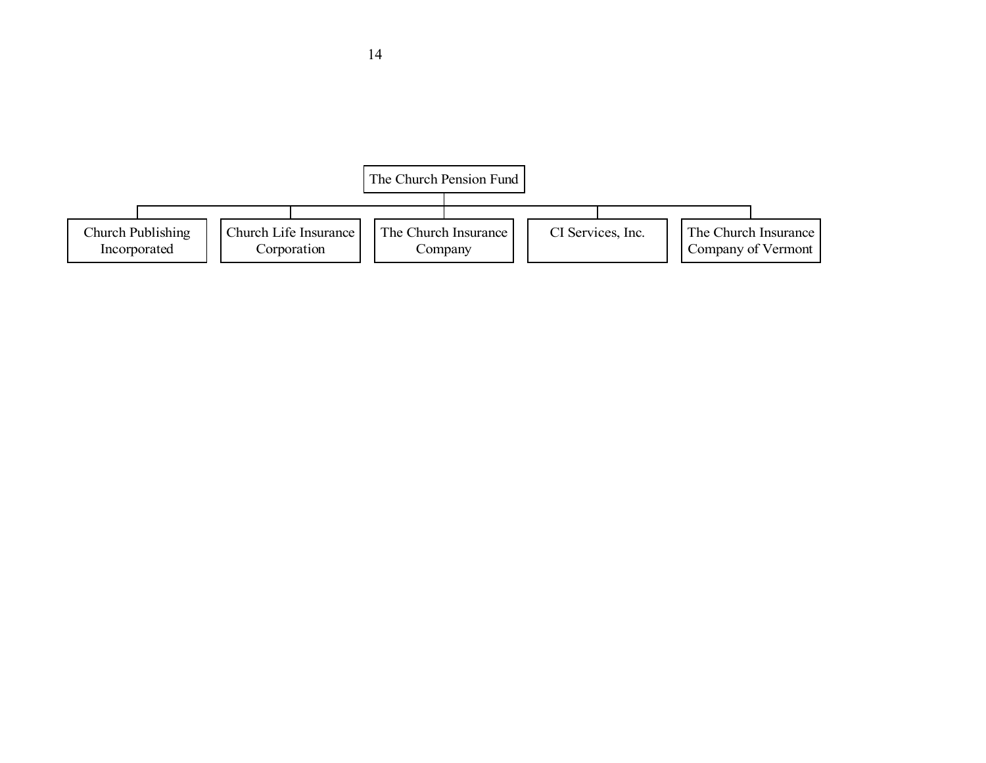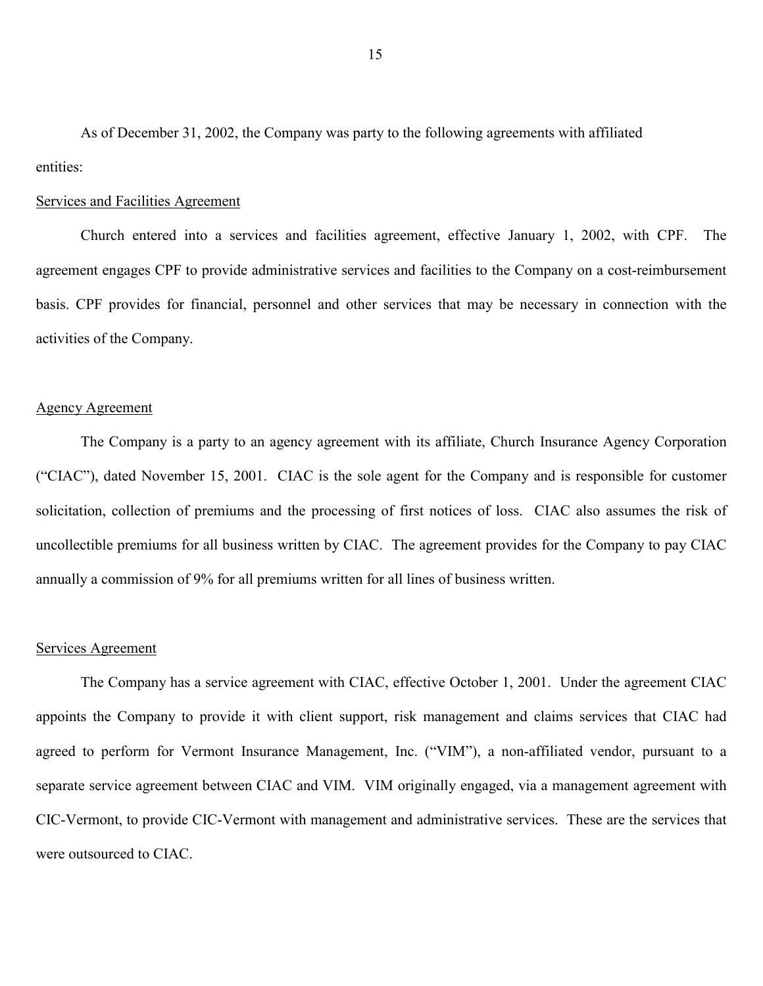As of December 31, 2002, the Company was party to the following agreements with affiliated entities:

### Services and Facilities Agreement

 Church entered into a services and facilities agreement, effective January 1, 2002, with CPF. The agreement engages CPF to provide administrative services and facilities to the Company on a cost-reimbursement basis. CPF provides for financial, personnel and other services that may be necessary in connection with the activities of the Company.

### Agency Agreement

 The Company is a party to an agency agreement with its affiliate, Church Insurance Agency Corporation uncollectible premiums for all business written by CIAC. The agreement provides for the Company to pay CIAC ("CIAC"), dated November 15, 2001. CIAC is the sole agent for the Company and is responsible for customer solicitation, collection of premiums and the processing of first notices of loss. CIAC also assumes the risk of annually a commission of 9% for all premiums written for all lines of business written.

#### Services Agreement

 CIC-Vermont, to provide CIC-Vermont with management and administrative services. These are the services that The Company has a service agreement with CIAC, effective October 1, 2001. Under the agreement CIAC appoints the Company to provide it with client support, risk management and claims services that CIAC had agreed to perform for Vermont Insurance Management, Inc. ("VIM"), a non-affiliated vendor, pursuant to a separate service agreement between CIAC and VIM. VIM originally engaged, via a management agreement with were outsourced to CIAC.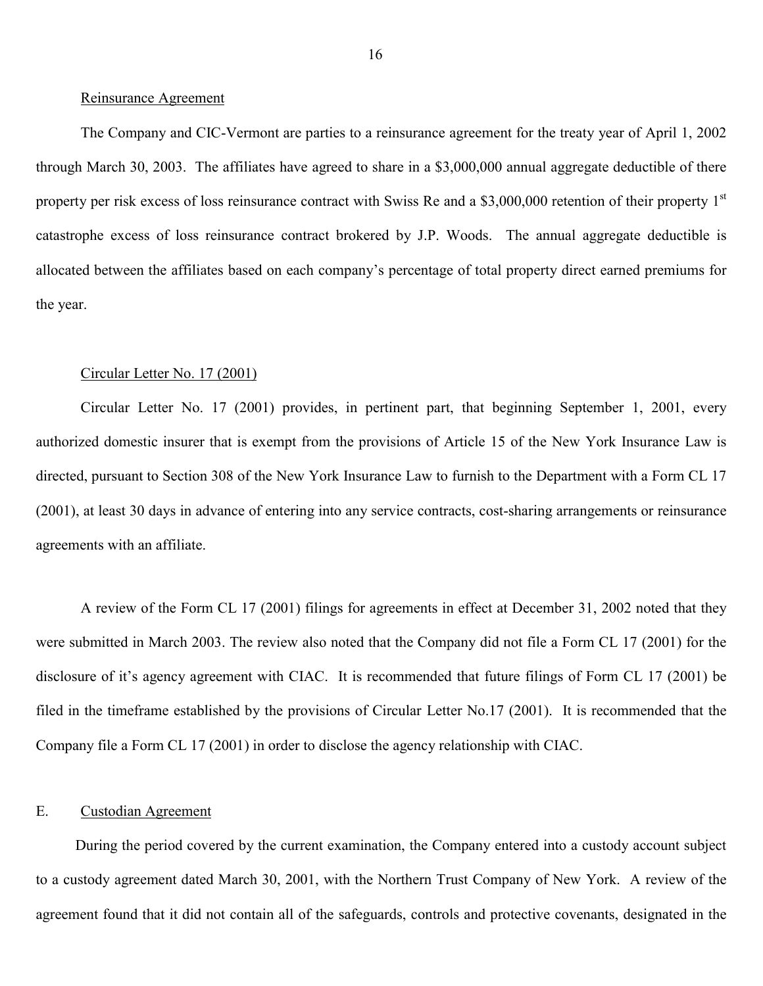#### <span id="page-17-0"></span>Reinsurance Agreement

 allocated between the affiliates based on each company's percentage of total property direct earned premiums for The Company and CIC-Vermont are parties to a reinsurance agreement for the treaty year of April 1, 2002 through March 30, 2003. The affiliates have agreed to share in a \$3,000,000 annual aggregate deductible of there property per risk excess of loss reinsurance contract with Swiss Re and a \$3,000,000 retention of their property 1<sup>st</sup> catastrophe excess of loss reinsurance contract brokered by J.P. Woods. The annual aggregate deductible is the year.

#### Circular Letter No. 17 (2001)

Circular Letter No. 17 (2001) provides, in pertinent part, that beginning September 1, 2001, every authorized domestic insurer that is exempt from the provisions of Article 15 of the New York Insurance Law is directed, pursuant to Section 308 of the New York Insurance Law to furnish to the Department with a Form CL 17 (2001), at least 30 days in advance of entering into any service contracts, cost-sharing arrangements or reinsurance agreements with an affiliate.

A review of the Form CL 17 (2001) filings for agreements in effect at December 31, 2002 noted that they were submitted in March 2003. The review also noted that the Company did not file a Form CL 17 (2001) for the disclosure of it's agency agreement with CIAC. It is recommended that future filings of Form CL 17 (2001) be filed in the timeframe established by the provisions of Circular Letter No.17 (2001). It is recommended that the Company file a Form CL 17 (2001) in order to disclose the agency relationship with CIAC.

## E. Custodian Agreement

During the period covered by the current examination, the Company entered into a custody account subject to a custody agreement dated March 30, 2001, with the Northern Trust Company of New York. A review of the agreement found that it did not contain all of the safeguards, controls and protective covenants, designated in the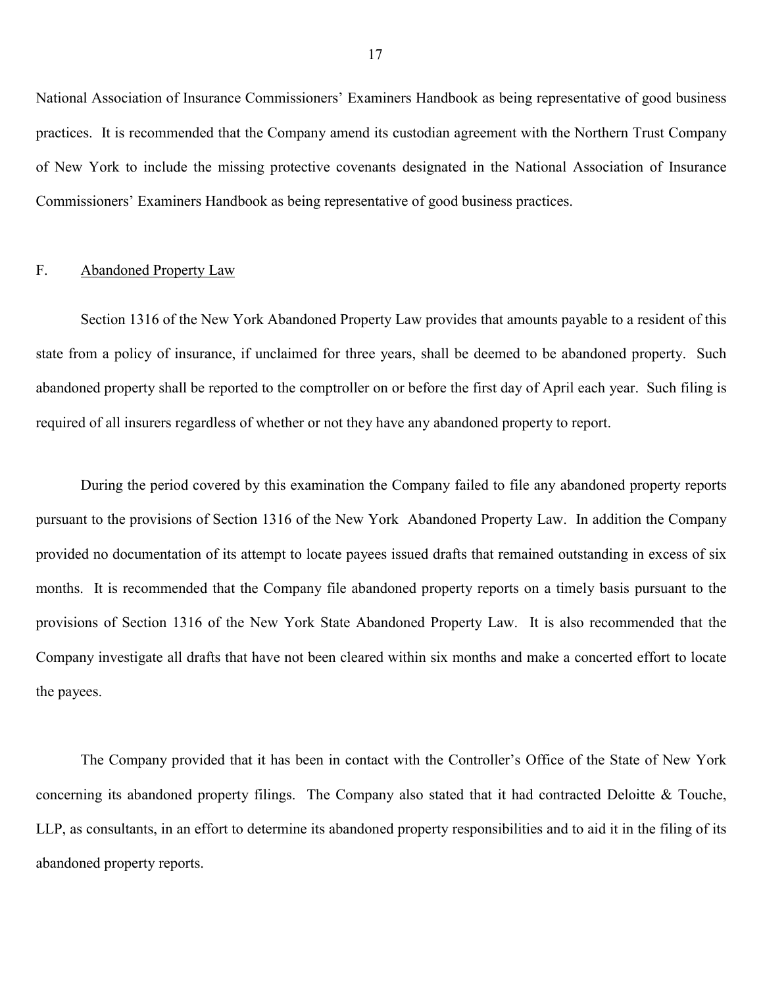<span id="page-18-0"></span>National Association of Insurance Commissioners' Examiners Handbook as being representative of good business practices. It is recommended that the Company amend its custodian agreement with the Northern Trust Company of New York to include the missing protective covenants designated in the National Association of Insurance Commissioners' Examiners Handbook as being representative of good business practices.

## F. Abandoned Property Law

Section 1316 of the New York Abandoned Property Law provides that amounts payable to a resident of this state from a policy of insurance, if unclaimed for three years, shall be deemed to be abandoned property. Such abandoned property shall be reported to the comptroller on or before the first day of April each year. Such filing is required of all insurers regardless of whether or not they have any abandoned property to report.

 pursuant to the provisions of Section 1316 of the New York Abandoned Property Law. In addition the Company provided no documentation of its attempt to locate payees issued drafts that remained outstanding in excess of six provisions of Section 1316 of the New York State Abandoned Property Law. It is also recommended that the Company investigate all drafts that have not been cleared within six months and make a concerted effort to locate During the period covered by this examination the Company failed to file any abandoned property reports months. It is recommended that the Company file abandoned property reports on a timely basis pursuant to the the payees.

The Company provided that it has been in contact with the Controller's Office of the State of New York concerning its abandoned property filings. The Company also stated that it had contracted Deloitte & Touche, LLP, as consultants, in an effort to determine its abandoned property responsibilities and to aid it in the filing of its abandoned property reports.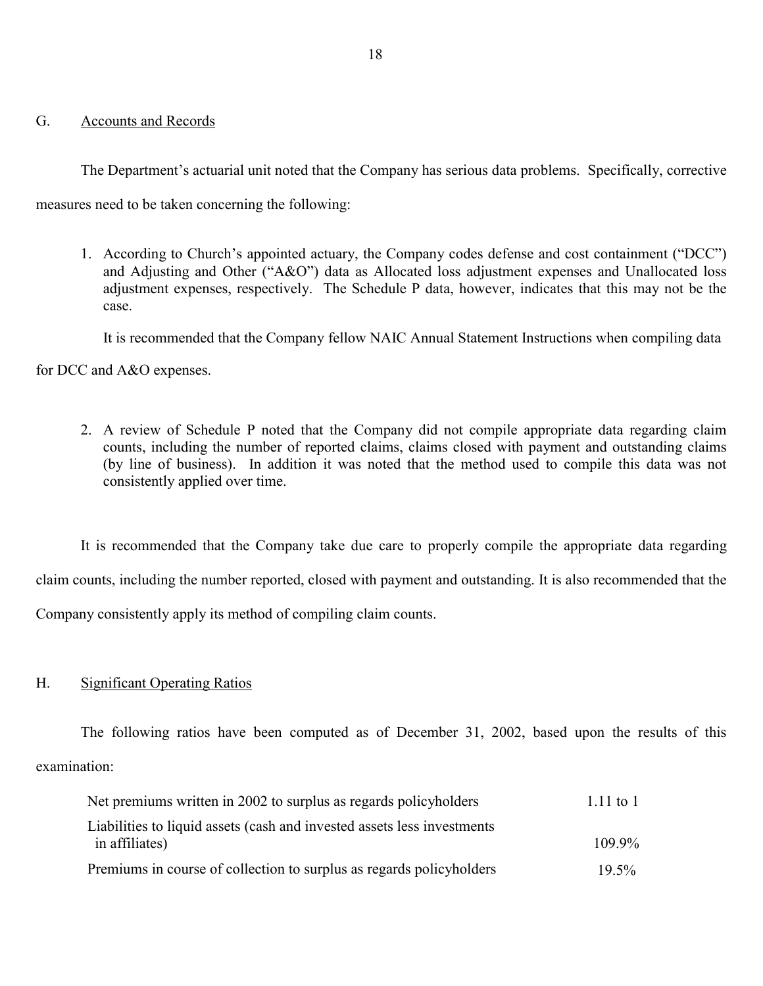## <span id="page-19-0"></span>G. Accounts and Records

 The Department's actuarial unit noted that the Company has serious data problems. Specifically, corrective measures need to be taken concerning the following:

1. According to Church's appointed actuary, the Company codes defense and cost containment ("DCC") and Adjusting and Other ("A&O") data as Allocated loss adjustment expenses and Unallocated loss adjustment expenses, respectively. The Schedule P data, however, indicates that this may not be the case.

It is recommended that the Company fellow NAIC Annual Statement Instructions when compiling data

for DCC and A&O expenses.

 (by line of business). In addition it was noted that the method used to compile this data was not 2. A review of Schedule P noted that the Company did not compile appropriate data regarding claim counts, including the number of reported claims, claims closed with payment and outstanding claims consistently applied over time.

 It is recommended that the Company take due care to properly compile the appropriate data regarding claim counts, including the number reported, closed with payment and outstanding. It is also recommended that the Company consistently apply its method of compiling claim counts.

## H. Significant Operating Ratios

The following ratios have been computed as of December 31, 2002, based upon the results of this examination:

| Net premiums written in 2002 to surplus as regards policyholders        | $1.11 \text{ to } 1$ |
|-------------------------------------------------------------------------|----------------------|
| Liabilities to liquid assets (cash and invested assets less investments |                      |
| in affiliates)                                                          | $109.9\%$            |
| Premiums in course of collection to surplus as regards policyholders    | $19.5\%$             |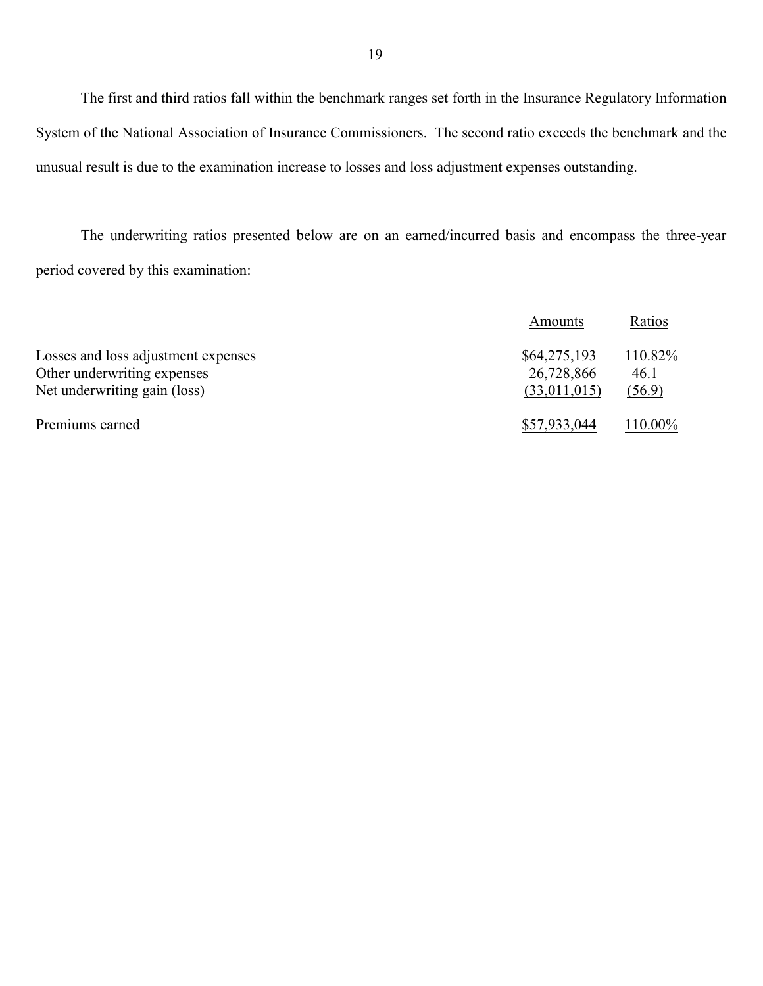The first and third ratios fall within the benchmark ranges set forth in the Insurance Regulatory Information System of the National Association of Insurance Commissioners. The second ratio exceeds the benchmark and the unusual result is due to the examination increase to losses and loss adjustment expenses outstanding.

The underwriting ratios presented below are on an earned/incurred basis and encompass the three-year period covered by this examination:

|                                     | Amounts      | Ratios  |
|-------------------------------------|--------------|---------|
| Losses and loss adjustment expenses | \$64,275,193 | 110.82% |
| Other underwriting expenses         | 26,728,866   | 46.1    |
| Net underwriting gain (loss)        | (33,011,015) | (56.9)  |
| Premiums earned                     | \$57,933,044 | 110.00% |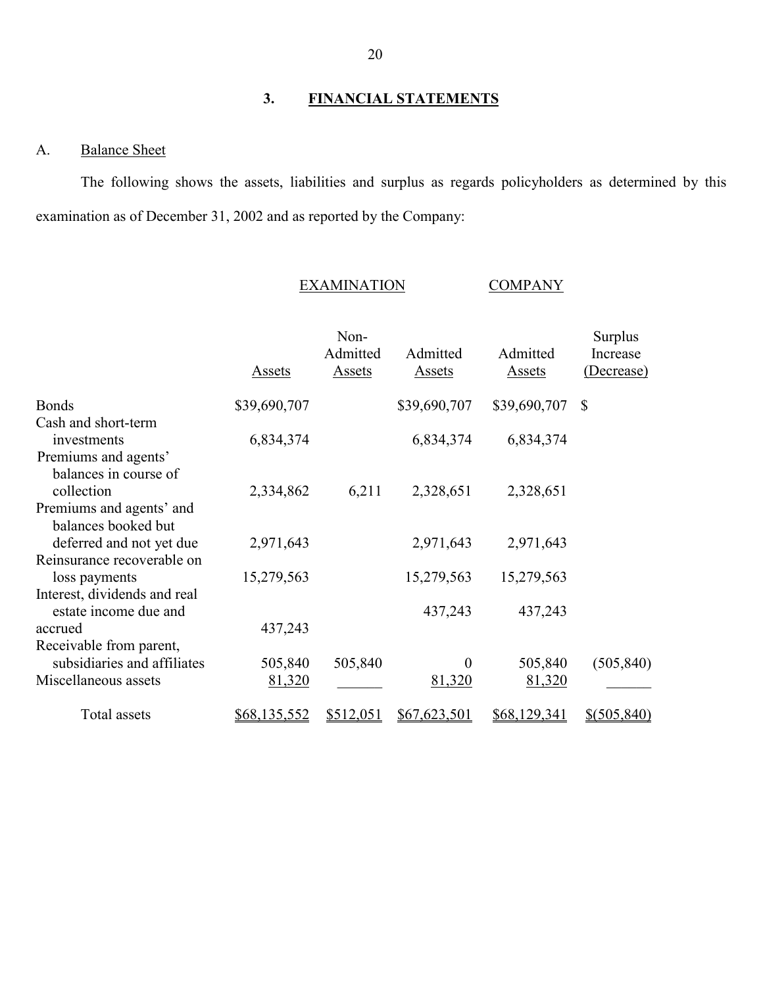## **3. FINANCIAL STATEMENTS**

## A. Balance Sheet

 The following shows the assets, liabilities and surplus as regards policyholders as determined by this examination as of December 31, 2002 and as reported by the Company:

#### EXAMINATION COMPANY

#### Assets Non-Admitted Assets Admitted Assets Admitted Assets Surplus Increase (Decrease) Bonds Cash and short-term investments Premiums and agents' balances in course of collection Premiums and agents' and balances booked but deferred and not yet due Reinsurance recoverable on loss payments Interest, dividends and real estate income due and accrued Receivable from parent, subsidiaries and affiliates Miscellaneous assets \$39,690,707 6,834,374 2,334,862 2,971,643 15,279,563 437,243 505,840 81,320 6,211 505,840  $\mathcal{L}_\text{max}$ \$39,690,707 6,834,374 2,328,651 2,971,643 15,279,563 437,243 0 81,320 \$39,690,707 \$ 6,834,374 2,328,651 2,971,643 15,279,563 437,243 505,840 81,320 (505,840)  $\mathcal{L}_\text{max}$ Total assets \$68,135,552 \$512,051 \$67,623,501 \$68,129,341 \$(505,840)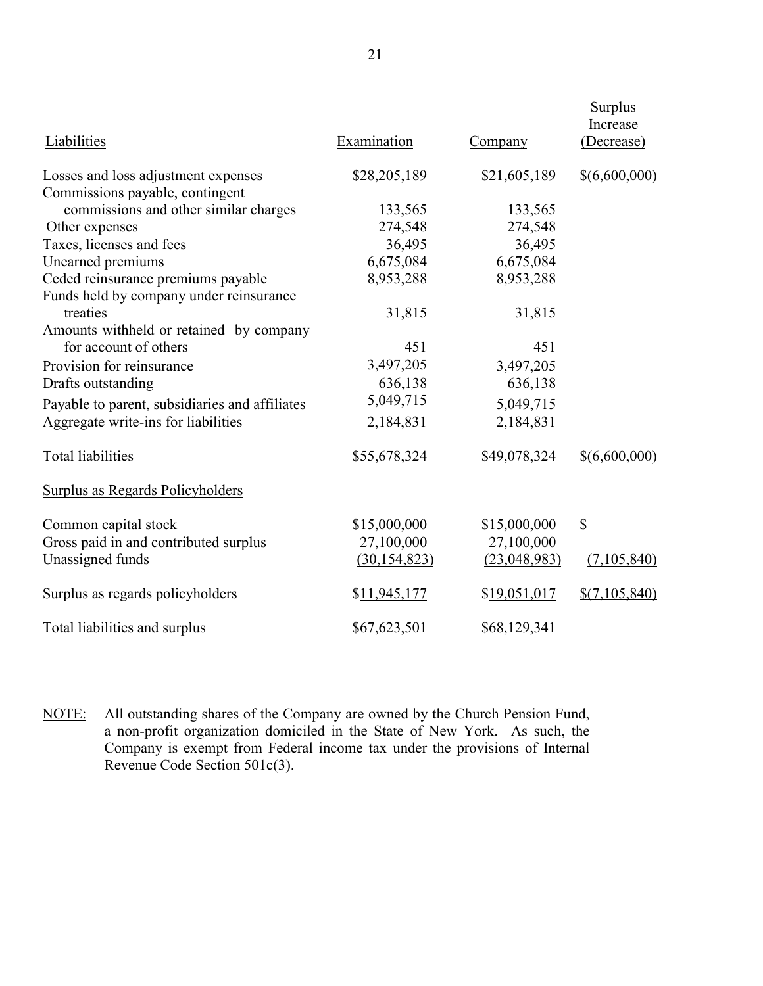| Liabilities                                    | Examination    | Company      | <b>Surplus</b><br>Increase<br>(Decrease) |
|------------------------------------------------|----------------|--------------|------------------------------------------|
| Losses and loss adjustment expenses            | \$28,205,189   | \$21,605,189 | \$(6,600,000)                            |
| Commissions payable, contingent                |                |              |                                          |
| commissions and other similar charges          | 133,565        | 133,565      |                                          |
| Other expenses                                 | 274,548        | 274,548      |                                          |
| Taxes, licenses and fees                       | 36,495         | 36,495       |                                          |
| Unearned premiums                              | 6,675,084      | 6,675,084    |                                          |
| Ceded reinsurance premiums payable             | 8,953,288      | 8,953,288    |                                          |
| Funds held by company under reinsurance        |                |              |                                          |
| treaties                                       | 31,815         | 31,815       |                                          |
| Amounts withheld or retained by company        |                |              |                                          |
| for account of others                          | 451            | 451          |                                          |
| Provision for reinsurance                      | 3,497,205      | 3,497,205    |                                          |
| Drafts outstanding                             | 636,138        | 636,138      |                                          |
| Payable to parent, subsidiaries and affiliates | 5,049,715      | 5,049,715    |                                          |
| Aggregate write-ins for liabilities            | 2,184,831      | 2,184,831    |                                          |
| <b>Total liabilities</b>                       | \$55,678,324   | \$49,078,324 | \$ (6,600,000)                           |
| <b>Surplus as Regards Policyholders</b>        |                |              |                                          |
| Common capital stock                           | \$15,000,000   | \$15,000,000 | \$                                       |
| Gross paid in and contributed surplus          | 27,100,000     | 27,100,000   |                                          |
| Unassigned funds                               | (30, 154, 823) | (23,048,983) | (7,105,840)                              |
| Surplus as regards policyholders               | \$11,945,177   | \$19,051,017 | \$(7,105,840)                            |
| Total liabilities and surplus                  | \$67,623,501   | \$68,129,341 |                                          |

NOTE: All outstanding shares of the Company are owned by the Church Pension Fund, a non-profit organization domiciled in the State of New York. As such, the Company is exempt from Federal income tax under the provisions of Internal Revenue Code Section 501c(3).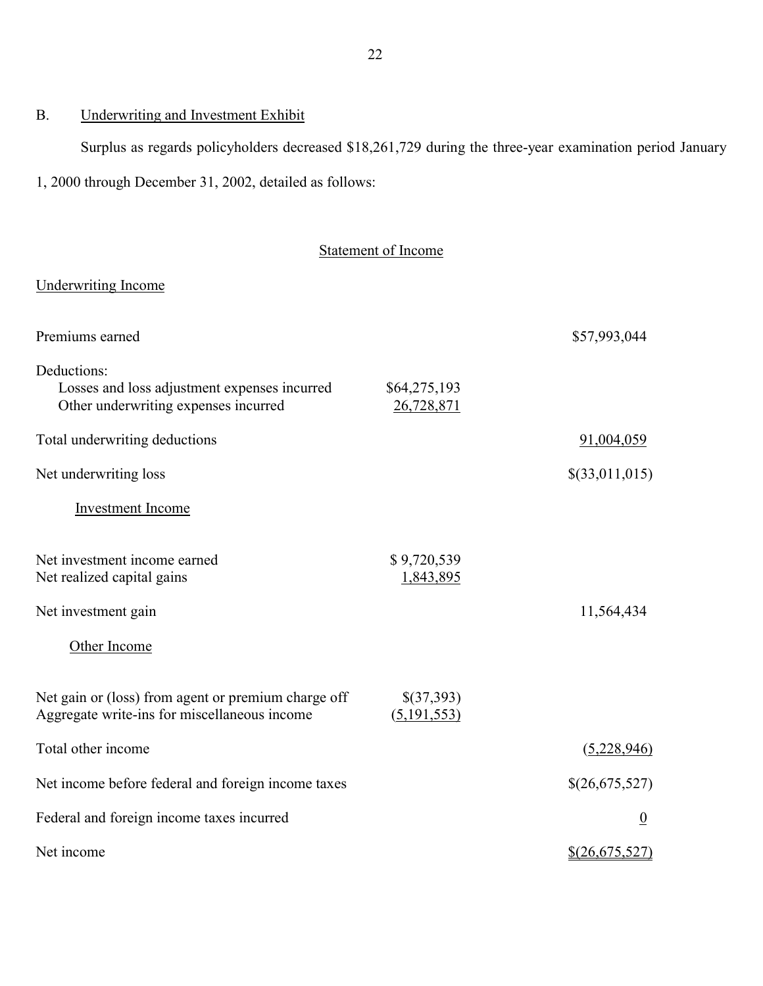# B. Underwriting and Investment Exhibit

Surplus as regards policyholders decreased \$18,261,729 during the three-year examination period January

1, 2000 through December 31, 2002, detailed as follows:

# Statement of Income

# Underwriting Income

| Premiums earned                                                                                     | \$57,993,044                |                 |
|-----------------------------------------------------------------------------------------------------|-----------------------------|-----------------|
| Deductions:<br>Losses and loss adjustment expenses incurred<br>Other underwriting expenses incurred | \$64,275,193<br>26,728,871  |                 |
| Total underwriting deductions                                                                       |                             | 91,004,059      |
| Net underwriting loss                                                                               |                             | \$(33,011,015)  |
| <b>Investment Income</b>                                                                            |                             |                 |
| Net investment income earned<br>Net realized capital gains<br>Net investment gain                   | \$9,720,539<br>1,843,895    | 11,564,434      |
| Other Income                                                                                        |                             |                 |
| Net gain or (loss) from agent or premium charge off<br>Aggregate write-ins for miscellaneous income | \$(37,393)<br>(5, 191, 553) |                 |
| Total other income                                                                                  |                             | (5,228,946)     |
| Net income before federal and foreign income taxes                                                  |                             | \$(26,675,527)  |
| Federal and foreign income taxes incurred                                                           |                             | $\underline{0}$ |
| Net income                                                                                          | $$$ (26,675,527)            |                 |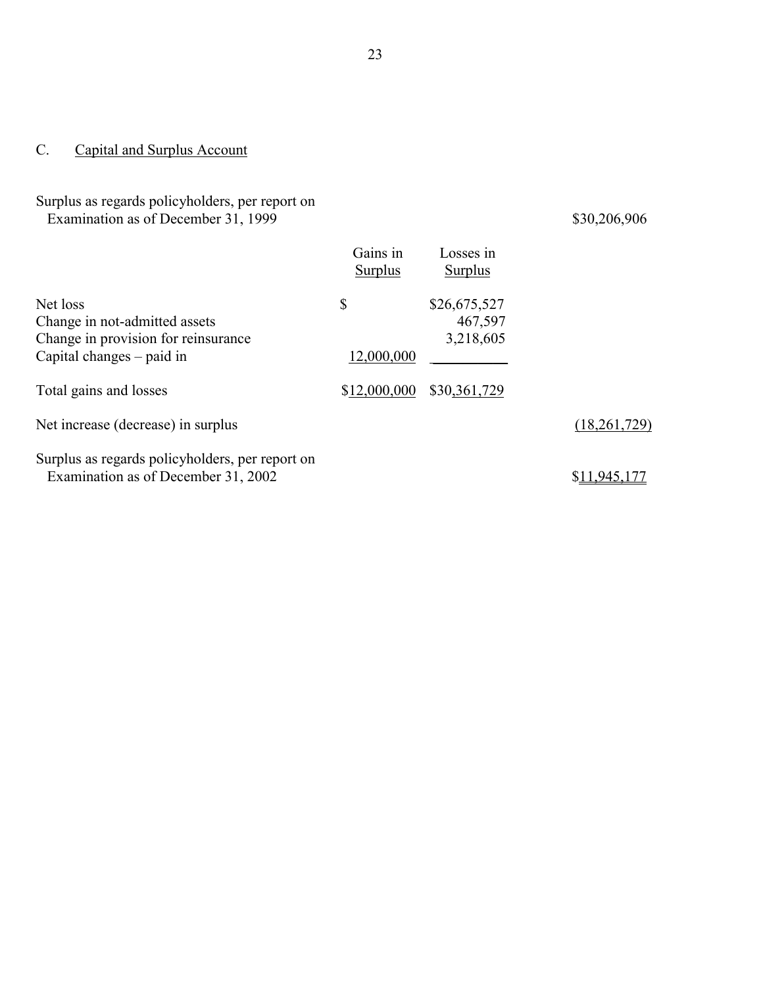# <span id="page-24-0"></span>C. Capital and Surplus Account

## Surplus as regards policyholders, per report on Examination as of December 31, 1999 \$30,206,906

|                                                                                                               | Gains in<br>Surplus | Losses in<br>Surplus                 |              |
|---------------------------------------------------------------------------------------------------------------|---------------------|--------------------------------------|--------------|
| Net loss<br>Change in not-admitted assets<br>Change in provision for reinsurance<br>Capital changes – paid in | \$<br>12,000,000    | \$26,675,527<br>467,597<br>3,218,605 |              |
| Total gains and losses                                                                                        | \$12,000,000        | \$30,361,729                         |              |
| Net increase (decrease) in surplus                                                                            |                     |                                      | (18,261,729) |
| Surplus as regards policyholders, per report on<br>Examination as of December 31, 2002                        |                     |                                      | \$11,945,177 |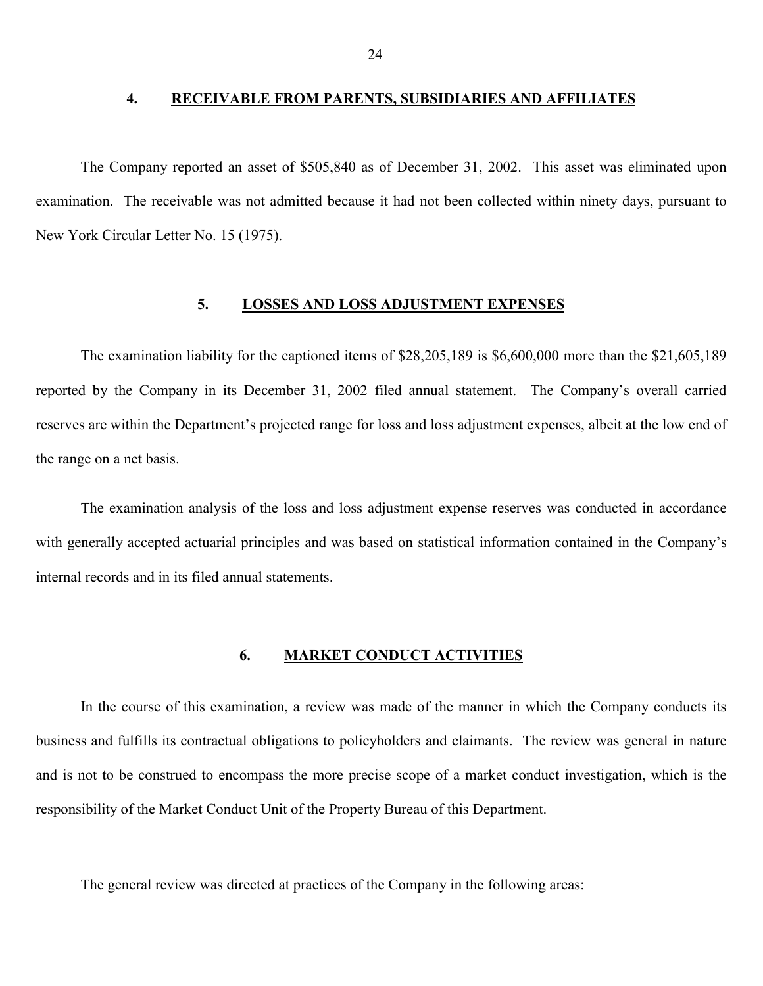#### <span id="page-25-0"></span>**4. RECEIVABLE FROM PARENTS, SUBSIDIARIES AND AFFILIATES**

The Company reported an asset of \$505,840 as of December 31, 2002. This asset was eliminated upon examination. The receivable was not admitted because it had not been collected within ninety days, pursuant to New York Circular Letter No. 15 (1975).

## **5. LOSSES AND LOSS ADJUSTMENT EXPENSES**

The examination liability for the captioned items of \$28,205,189 is \$6,600,000 more than the \$21,605,189 reported by the Company in its December 31, 2002 filed annual statement. The Company's overall carried reserves are within the Department's projected range for loss and loss adjustment expenses, albeit at the low end of the range on a net basis.

 with generally accepted actuarial principles and was based on statistical information contained in the Company's The examination analysis of the loss and loss adjustment expense reserves was conducted in accordance internal records and in its filed annual statements.

#### **6. MARKET CONDUCT ACTIVITIES**

In the course of this examination, a review was made of the manner in which the Company conducts its business and fulfills its contractual obligations to policyholders and claimants. The review was general in nature and is not to be construed to encompass the more precise scope of a market conduct investigation, which is the responsibility of the Market Conduct Unit of the Property Bureau of this Department.

The general review was directed at practices of the Company in the following areas: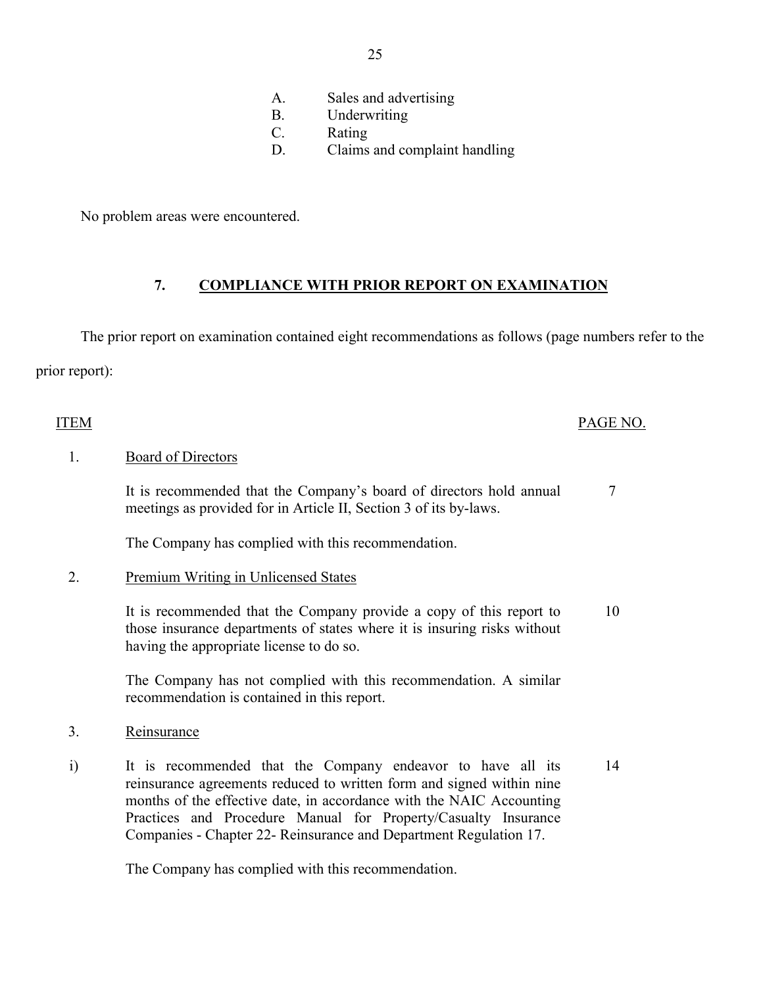- A. Sales and advertising
- B. Underwriting
- C. Rating
- D. Claims and complaint handling

<span id="page-26-0"></span>No problem areas were encountered.

## **7. COMPLIANCE WITH PRIOR REPORT ON EXAMINATION**

The prior report on examination contained eight recommendations as follows (page numbers refer to the prior report):

## ITEM PAGE NO.

## 1. Board of Directors

It is recommended that the Company's board of directors hold annual 7 meetings as provided for in Article II, Section 3 of its by-laws.

The Company has complied with this recommendation.

## 2. Premium Writing in Unlicensed States

It is recommended that the Company provide a copy of this report to 10 those insurance departments of states where it is insuring risks without having the appropriate license to do so.

The Company has not complied with this recommendation. A similar recommendation is contained in this report.

- 3. Reinsurance
- i) It is recommended that the Company endeavor to have all its 14 reinsurance agreements reduced to written form and signed within nine months of the effective date, in accordance with the NAIC Accounting Practices and Procedure Manual for Property/Casualty Insurance Companies - Chapter 22- Reinsurance and Department Regulation 17.

The Company has complied with this recommendation.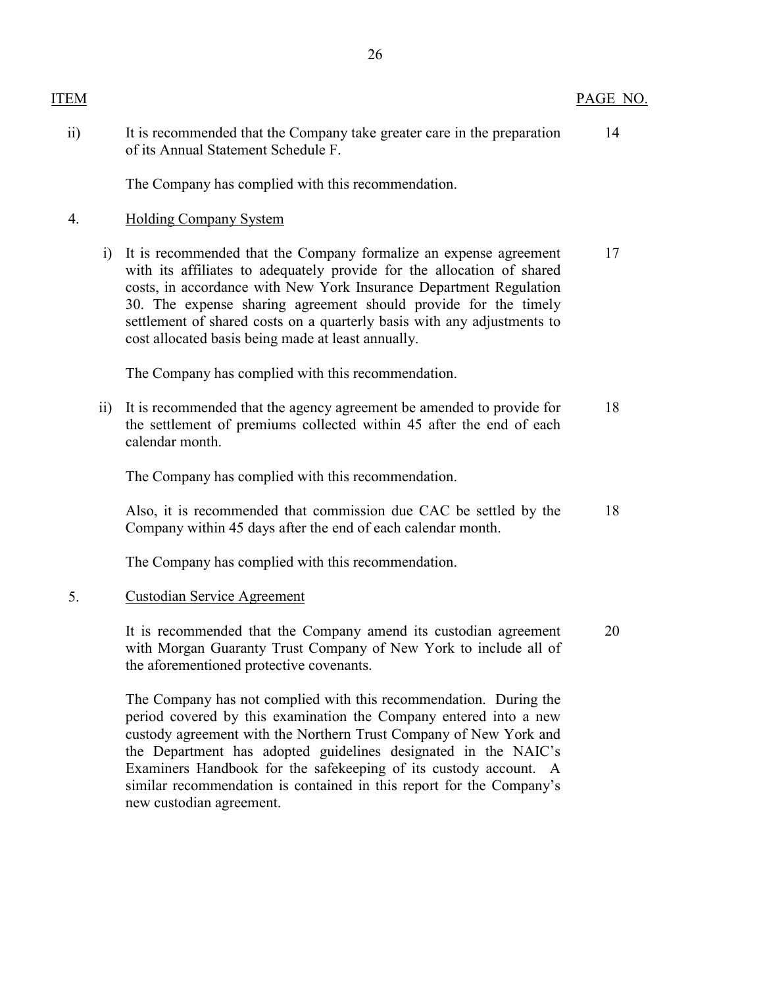| <b>ITEM</b>     |                 |                                                                                                                                                                                                                                                                                                                                                                                                                       | PAGE NO. |
|-----------------|-----------------|-----------------------------------------------------------------------------------------------------------------------------------------------------------------------------------------------------------------------------------------------------------------------------------------------------------------------------------------------------------------------------------------------------------------------|----------|
| $\overline{ii}$ |                 | It is recommended that the Company take greater care in the preparation<br>of its Annual Statement Schedule F.                                                                                                                                                                                                                                                                                                        | 14       |
|                 |                 | The Company has complied with this recommendation.                                                                                                                                                                                                                                                                                                                                                                    |          |
| 4.              |                 | <b>Holding Company System</b>                                                                                                                                                                                                                                                                                                                                                                                         |          |
|                 | $\ddot{1}$      | It is recommended that the Company formalize an expense agreement<br>with its affiliates to adequately provide for the allocation of shared<br>costs, in accordance with New York Insurance Department Regulation<br>30. The expense sharing agreement should provide for the timely<br>settlement of shared costs on a quarterly basis with any adjustments to<br>cost allocated basis being made at least annually. | 17       |
|                 |                 | The Company has complied with this recommendation.                                                                                                                                                                                                                                                                                                                                                                    |          |
|                 | $\overline{11}$ | It is recommended that the agency agreement be amended to provide for<br>the settlement of premiums collected within 45 after the end of each<br>calendar month.                                                                                                                                                                                                                                                      | 18       |
|                 |                 | The Company has complied with this recommendation.                                                                                                                                                                                                                                                                                                                                                                    |          |
|                 |                 | Also, it is recommended that commission due CAC be settled by the<br>Company within 45 days after the end of each calendar month.                                                                                                                                                                                                                                                                                     | 18       |
|                 |                 | The Company has complied with this recommendation.                                                                                                                                                                                                                                                                                                                                                                    |          |
| 5.              |                 | <b>Custodian Service Agreement</b>                                                                                                                                                                                                                                                                                                                                                                                    |          |
|                 |                 | It is recommended that the Company amend its custodian agreement<br>with Morgan Guaranty Trust Company of New York to include all of<br>the aforementioned protective covenants.                                                                                                                                                                                                                                      | 20       |
|                 |                 | The Company has not complied with this recommendation. During the<br>$\mathbf{1}$ . The second term that is according to the community of $\mathbf{1}$ into $\mathbf{1}$                                                                                                                                                                                                                                              |          |

 Examiners Handbook for the safekeeping of its custody account. A similar recommendation is contained in this report for the Company's period covered by this examination the Company entered into a new custody agreement with the Northern Trust Company of New York and the Department has adopted guidelines designated in the NAIC's new custodian agreement.

26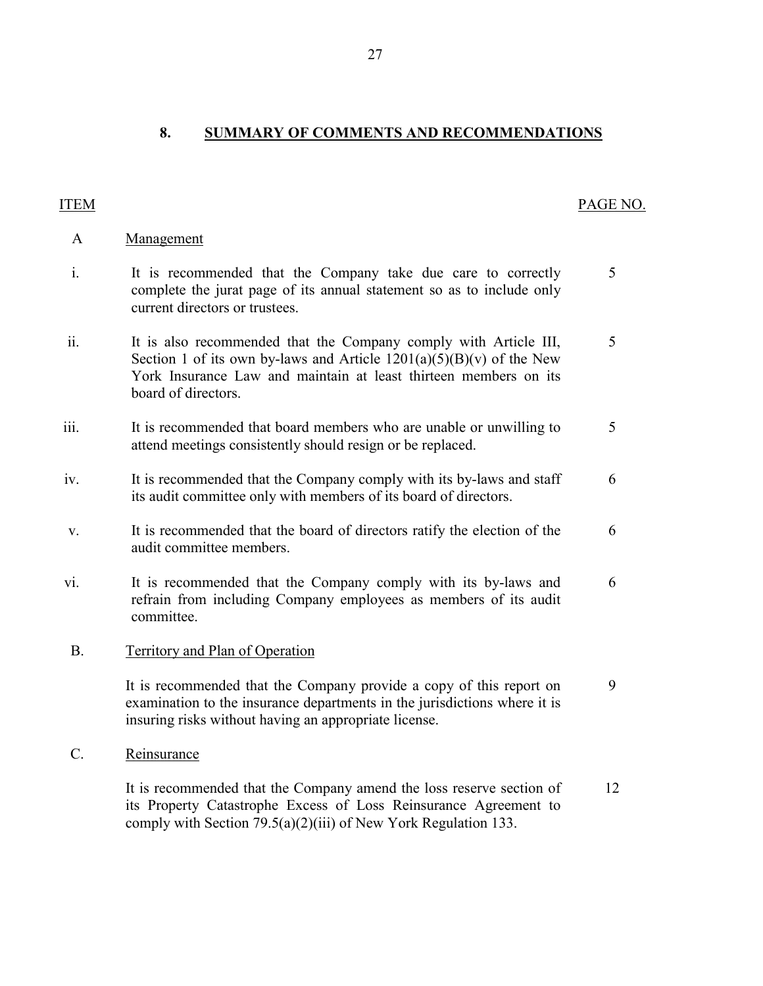<span id="page-28-0"></span>**8. SUMMARY OF COMMENTS AND RECOMMENDATIONS** 

A Management

# ITEM PAGE NO.

| $\mathbf{i}$ .  | It is recommended that the Company take due care to correctly<br>complete the jurat page of its annual statement so as to include only<br>current directors or trustees.                                                              | 5 |
|-----------------|---------------------------------------------------------------------------------------------------------------------------------------------------------------------------------------------------------------------------------------|---|
| ii.             | It is also recommended that the Company comply with Article III,<br>Section 1 of its own by-laws and Article $1201(a)(5)(B)(v)$ of the New<br>York Insurance Law and maintain at least thirteen members on its<br>board of directors. | 5 |
| iii.            | It is recommended that board members who are unable or unwilling to<br>attend meetings consistently should resign or be replaced.                                                                                                     | 5 |
| iv.             | It is recommended that the Company comply with its by-laws and staff<br>its audit committee only with members of its board of directors.                                                                                              | 6 |
| V.              | It is recommended that the board of directors ratify the election of the<br>audit committee members.                                                                                                                                  | 6 |
| V1.             | It is recommended that the Company comply with its by-laws and<br>refrain from including Company employees as members of its audit<br>committee.                                                                                      | 6 |
| <b>B.</b>       | <b>Territory and Plan of Operation</b>                                                                                                                                                                                                |   |
|                 | It is recommended that the Company provide a copy of this report on<br>examination to the insurance departments in the jurisdictions where it is<br>insuring risks without having an appropriate license.                             | 9 |
| $\mathcal{C}$ . | Reinsurance                                                                                                                                                                                                                           |   |

It is recommended that the Company amend the loss reserve section of 12 its Property Catastrophe Excess of Loss Reinsurance Agreement to comply with Section 79.5(a)(2)(iii) of New York Regulation 133.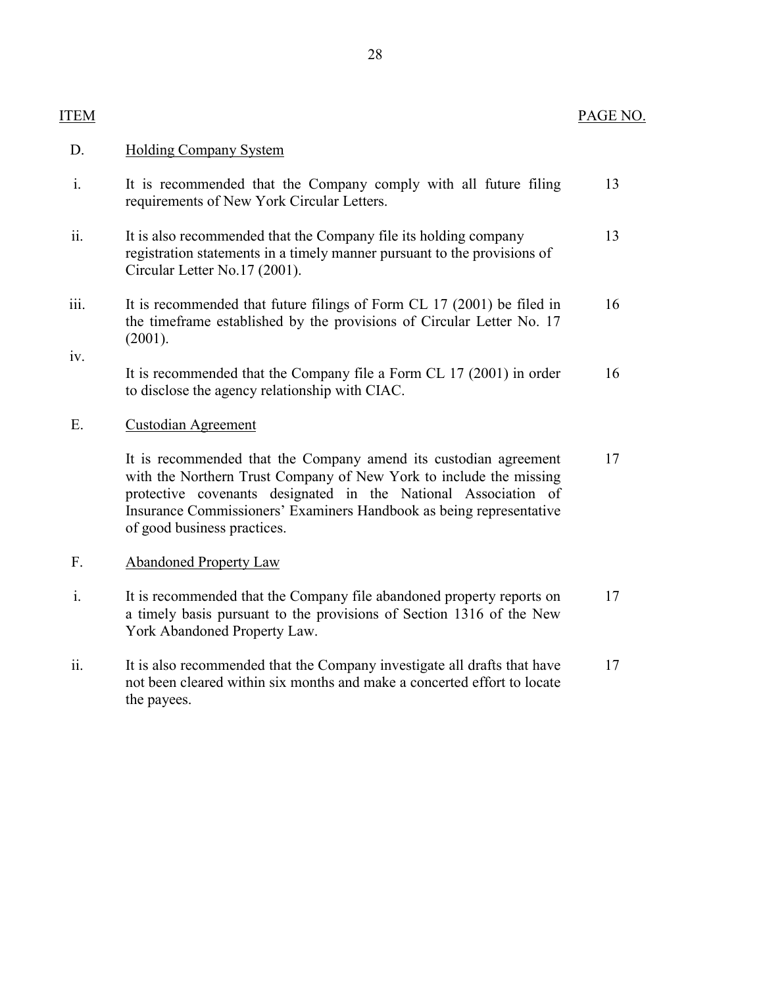## D. Holding Company System

ITEM

- i. It is recommended that the Company comply with all future filing requirements of New York Circular Letters. 13
- ii. It is also recommended that the Company file its holding company registration statements in a timely manner pursuant to the provisions of Circular Letter No.17 (2001). 13
- the timeframe established by the provisions of Circular Letter No. 17 iii. It is recommended that future filings of Form CL 17 (2001) be filed in (2001). iv. 16

It is recommended that the Company file a Form CL 17 (2001) in order to disclose the agency relationship with CIAC. 16

## E. Custodian Agreement

 with the Northern Trust Company of New York to include the missing It is recommended that the Company amend its custodian agreement protective covenants designated in the National Association of Insurance Commissioners' Examiners Handbook as being representative of good business practices. 17

## F. Abandoned Property Law

- i. It is recommended that the Company file abandoned property reports on a timely basis pursuant to the provisions of Section 1316 of the New York Abandoned Property Law. 17
- ii. It is also recommended that the Company investigate all drafts that have not been cleared within six months and make a concerted effort to locate the payees. 17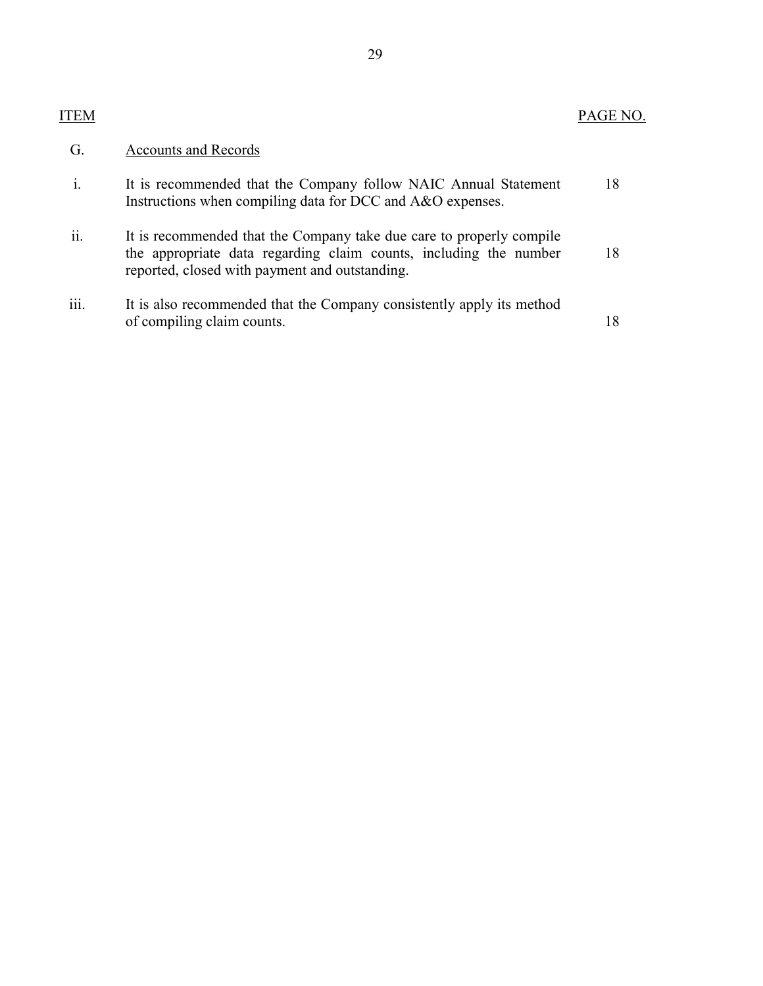# ITEM PAGE NO.

| G.                | <b>Accounts and Records</b>                                                                                                                                                                 |    |
|-------------------|---------------------------------------------------------------------------------------------------------------------------------------------------------------------------------------------|----|
| $\mathbf{i}$      | It is recommended that the Company follow NAIC Annual Statement<br>Instructions when compiling data for DCC and A&O expenses.                                                               | 18 |
| $\cdot$ .<br>11.  | It is recommended that the Company take due care to properly compile<br>the appropriate data regarding claim counts, including the number<br>reported, closed with payment and outstanding. | 18 |
| $\ddotsc$<br>111. | It is also recommended that the Company consistently apply its method<br>of compiling claim counts.                                                                                         | 18 |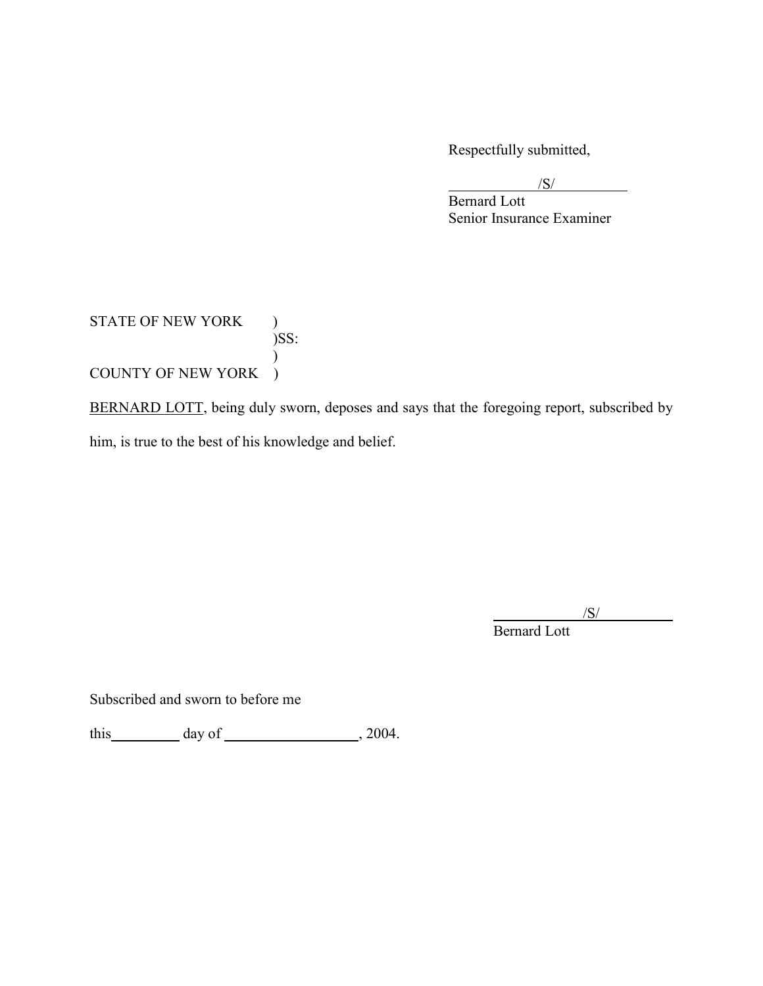Respectfully submitted,

/S/

Bernard Lott Senior Insurance Examiner

# STATE OF NEW YORK )  $)$ SS:  $\mathcal{L}$ COUNTY OF NEW YORK )

BERNARD LOTT, being duly sworn, deposes and says that the foregoing report, subscribed by him, is true to the best of his knowledge and belief.

/S/

Bernard Lott

Subscribed and sworn to before me

this  $\qquad \qquad \text{day of} \qquad \qquad .2004.$